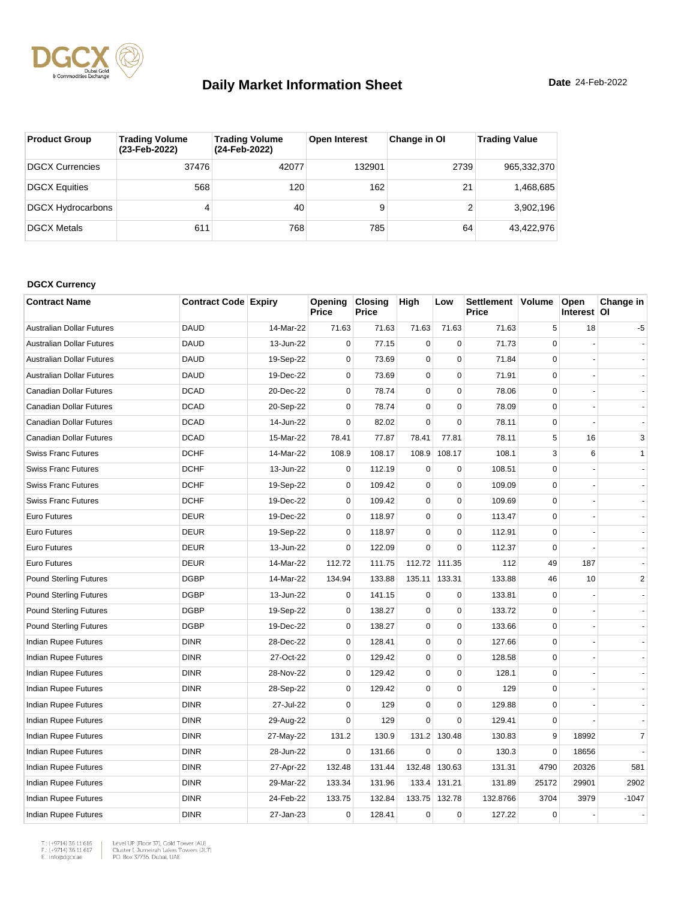

| <b>Product Group</b>     | <b>Trading Volume</b><br>(23-Feb-2022) | <b>Trading Volume</b><br>(24-Feb-2022) | <b>Open Interest</b> | Change in OI | <b>Trading Value</b> |
|--------------------------|----------------------------------------|----------------------------------------|----------------------|--------------|----------------------|
| <b>DGCX Currencies</b>   | 37476                                  | 42077                                  | 132901               | 2739         | 965,332,370          |
| <b>DGCX Equities</b>     | 568                                    | 120                                    | 162                  | 21           | 1,468,685            |
| <b>DGCX Hydrocarbons</b> | 4                                      | 40                                     | 9                    |              | 3,902,196            |
| <b>DGCX Metals</b>       | 611                                    | 768                                    | 785                  | 64           | 43.422.976           |

#### **DGCX Currency**

| <b>Contract Name</b>             | <b>Contract Code Expiry</b> |           | Opening<br>Price | <b>Closing</b><br>Price | High        | Low          | Settlement Volume<br>Price |             | Open<br>Interest   OI | Change in      |
|----------------------------------|-----------------------------|-----------|------------------|-------------------------|-------------|--------------|----------------------------|-------------|-----------------------|----------------|
| <b>Australian Dollar Futures</b> | <b>DAUD</b>                 | 14-Mar-22 | 71.63            | 71.63                   | 71.63       | 71.63        | 71.63                      | 5           | 18                    | -5             |
| <b>Australian Dollar Futures</b> | <b>DAUD</b>                 | 13-Jun-22 | $\mathbf 0$      | 77.15                   | $\mathbf 0$ | $\mathbf 0$  | 71.73                      | $\Omega$    |                       |                |
| <b>Australian Dollar Futures</b> | <b>DAUD</b>                 | 19-Sep-22 | $\mathbf 0$      | 73.69                   | $\mathbf 0$ | $\mathbf 0$  | 71.84                      | $\mathbf 0$ |                       |                |
| <b>Australian Dollar Futures</b> | <b>DAUD</b>                 | 19-Dec-22 | $\mathbf 0$      | 73.69                   | $\mathbf 0$ | $\mathbf 0$  | 71.91                      | $\mathbf 0$ |                       |                |
| Canadian Dollar Futures          | <b>DCAD</b>                 | 20-Dec-22 | $\mathbf 0$      | 78.74                   | $\pmb{0}$   | $\Omega$     | 78.06                      | $\Omega$    |                       |                |
| Canadian Dollar Futures          | <b>DCAD</b>                 | 20-Sep-22 | $\mathbf 0$      | 78.74                   | $\mathbf 0$ | $\pmb{0}$    | 78.09                      | $\mathbf 0$ |                       |                |
| Canadian Dollar Futures          | <b>DCAD</b>                 | 14-Jun-22 | $\mathbf 0$      | 82.02                   | $\mathbf 0$ | $\Omega$     | 78.11                      | $\mathbf 0$ |                       |                |
| Canadian Dollar Futures          | <b>DCAD</b>                 | 15-Mar-22 | 78.41            | 77.87                   | 78.41       | 77.81        | 78.11                      | 5           | 16                    | 3              |
| <b>Swiss Franc Futures</b>       | <b>DCHF</b>                 | 14-Mar-22 | 108.9            | 108.17                  | 108.9       | 108.17       | 108.1                      | 3           | 6                     | 1              |
| <b>Swiss Franc Futures</b>       | <b>DCHF</b>                 | 13-Jun-22 | $\mathbf 0$      | 112.19                  | $\mathbf 0$ | $\mathbf 0$  | 108.51                     | $\Omega$    |                       |                |
| <b>Swiss Franc Futures</b>       | <b>DCHF</b>                 | 19-Sep-22 | $\mathbf 0$      | 109.42                  | $\mathbf 0$ | $\mathbf 0$  | 109.09                     | $\mathbf 0$ |                       |                |
| <b>Swiss Franc Futures</b>       | <b>DCHF</b>                 | 19-Dec-22 | $\mathbf 0$      | 109.42                  | $\mathbf 0$ | $\mathbf 0$  | 109.69                     | $\mathbf 0$ |                       |                |
| Euro Futures                     | <b>DEUR</b>                 | 19-Dec-22 | $\mathbf 0$      | 118.97                  | $\mathbf 0$ | $\mathbf 0$  | 113.47                     | $\mathbf 0$ |                       |                |
| Euro Futures                     | <b>DEUR</b>                 | 19-Sep-22 | $\mathbf 0$      | 118.97                  | $\pmb{0}$   | $\pmb{0}$    | 112.91                     | $\mathbf 0$ |                       |                |
| <b>Euro Futures</b>              | <b>DEUR</b>                 | 13-Jun-22 | $\mathbf 0$      | 122.09                  | $\Omega$    | $\mathbf 0$  | 112.37                     | $\Omega$    |                       |                |
| <b>Euro Futures</b>              | <b>DEUR</b>                 | 14-Mar-22 | 112.72           | 111.75                  | 112.72      | 111.35       | 112                        | 49          | 187                   |                |
| <b>Pound Sterling Futures</b>    | <b>DGBP</b>                 | 14-Mar-22 | 134.94           | 133.88                  | 135.11      | 133.31       | 133.88                     | 46          | 10                    | $\overline{2}$ |
| <b>Pound Sterling Futures</b>    | <b>DGBP</b>                 | 13-Jun-22 | $\mathbf 0$      | 141.15                  | $\mathbf 0$ | $\mathbf 0$  | 133.81                     | $\Omega$    |                       |                |
| <b>Pound Sterling Futures</b>    | <b>DGBP</b>                 | 19-Sep-22 | $\mathbf 0$      | 138.27                  | $\pmb{0}$   | $\pmb{0}$    | 133.72                     | $\mathbf 0$ |                       |                |
| <b>Pound Sterling Futures</b>    | <b>DGBP</b>                 | 19-Dec-22 | $\mathbf 0$      | 138.27                  | 0           | $\mathbf 0$  | 133.66                     | $\mathbf 0$ |                       |                |
| Indian Rupee Futures             | <b>DINR</b>                 | 28-Dec-22 | $\mathbf 0$      | 128.41                  | $\pmb{0}$   | $\mathbf 0$  | 127.66                     | $\mathbf 0$ |                       |                |
| Indian Rupee Futures             | <b>DINR</b>                 | 27-Oct-22 | 0                | 129.42                  | $\pmb{0}$   | 0            | 128.58                     | $\Omega$    |                       |                |
| Indian Rupee Futures             | <b>DINR</b>                 | 28-Nov-22 | $\Omega$         | 129.42                  | $\mathbf 0$ | $\mathbf 0$  | 128.1                      | $\Omega$    |                       |                |
| Indian Rupee Futures             | <b>DINR</b>                 | 28-Sep-22 | $\mathbf 0$      | 129.42                  | $\mathbf 0$ | $\mathbf 0$  | 129                        | $\mathbf 0$ |                       |                |
| <b>Indian Rupee Futures</b>      | <b>DINR</b>                 | 27-Jul-22 | $\mathbf 0$      | 129                     | $\mathbf 0$ | $\mathbf 0$  | 129.88                     | $\mathbf 0$ |                       |                |
| Indian Rupee Futures             | <b>DINR</b>                 | 29-Aug-22 | $\mathbf 0$      | 129                     | 0           | $\mathbf 0$  | 129.41                     | $\mathbf 0$ |                       |                |
| Indian Rupee Futures             | <b>DINR</b>                 | 27-May-22 | 131.2            | 130.9                   | 131.2       | 130.48       | 130.83                     | 9           | 18992                 | $\overline{7}$ |
| <b>Indian Rupee Futures</b>      | <b>DINR</b>                 | 28-Jun-22 | $\mathbf 0$      | 131.66                  | $\mathbf 0$ | 0            | 130.3                      | $\mathbf 0$ | 18656                 |                |
| Indian Rupee Futures             | <b>DINR</b>                 | 27-Apr-22 | 132.48           | 131.44                  | 132.48      | 130.63       | 131.31                     | 4790        | 20326                 | 581            |
| Indian Rupee Futures             | <b>DINR</b>                 | 29-Mar-22 | 133.34           | 131.96                  |             | 133.4 131.21 | 131.89                     | 25172       | 29901                 | 2902           |
| Indian Rupee Futures             | <b>DINR</b>                 | 24-Feb-22 | 133.75           | 132.84                  | 133.75      | 132.78       | 132.8766                   | 3704        | 3979                  | $-1047$        |
| Indian Rupee Futures             | <b>DINR</b>                 | 27-Jan-23 | $\mathbf 0$      | 128.41                  | $\mathbf 0$ | $\mathbf 0$  | 127.22                     | $\mathbf 0$ |                       |                |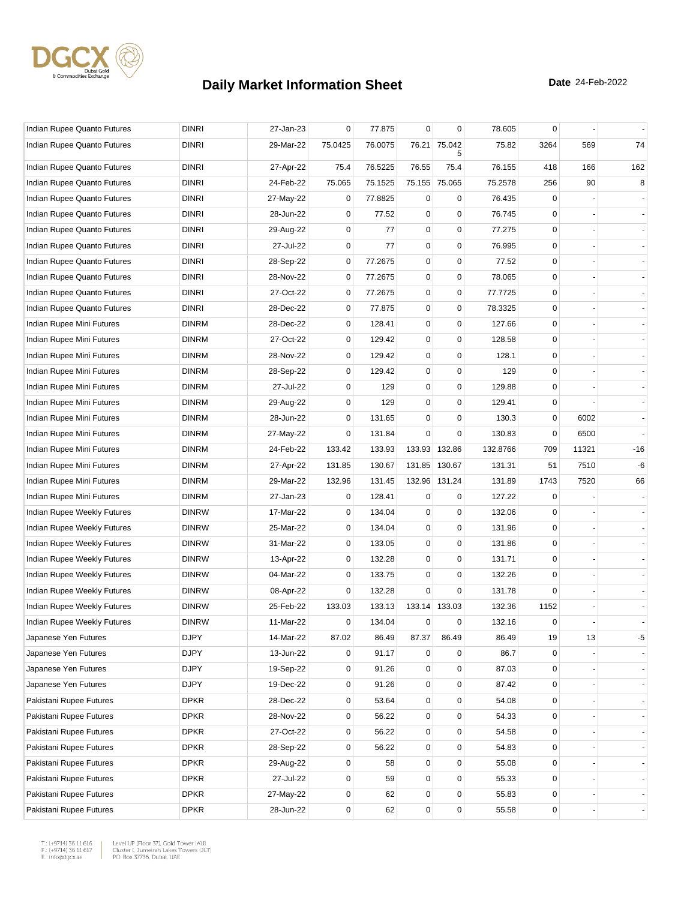

| Indian Rupee Quanto Futures | <b>DINRI</b> | 27-Jan-23 | 0           | 77.875  | $\mathbf 0$ | 0           | 78.605   | $\mathbf 0$ |       |                |
|-----------------------------|--------------|-----------|-------------|---------|-------------|-------------|----------|-------------|-------|----------------|
| Indian Rupee Quanto Futures | <b>DINRI</b> | 29-Mar-22 | 75.0425     | 76.0075 | 76.21       | 75.042<br>5 | 75.82    | 3264        | 569   | 74             |
| Indian Rupee Quanto Futures | <b>DINRI</b> | 27-Apr-22 | 75.4        | 76.5225 | 76.55       | 75.4        | 76.155   | 418         | 166   | 162            |
| Indian Rupee Quanto Futures | <b>DINRI</b> | 24-Feb-22 | 75.065      | 75.1525 | 75.155      | 75.065      | 75.2578  | 256         | 90    | 8              |
| Indian Rupee Quanto Futures | <b>DINRI</b> | 27-May-22 | 0           | 77.8825 | 0           | $\mathbf 0$ | 76.435   | 0           |       |                |
| Indian Rupee Quanto Futures | <b>DINRI</b> | 28-Jun-22 | $\mathbf 0$ | 77.52   | $\mathbf 0$ | 0           | 76.745   | 0           |       |                |
| Indian Rupee Quanto Futures | <b>DINRI</b> | 29-Aug-22 | 0           | 77      | $\mathbf 0$ | 0           | 77.275   | 0           |       |                |
| Indian Rupee Quanto Futures | DINRI        | 27-Jul-22 | 0           | 77      | $\mathbf 0$ | $\pmb{0}$   | 76.995   | 0           |       |                |
| Indian Rupee Quanto Futures | <b>DINRI</b> | 28-Sep-22 | 0           | 77.2675 | $\pmb{0}$   | 0           | 77.52    | 0           |       |                |
| Indian Rupee Quanto Futures | <b>DINRI</b> | 28-Nov-22 | $\mathbf 0$ | 77.2675 | $\mathbf 0$ | 0           | 78.065   | $\mathbf 0$ |       |                |
| Indian Rupee Quanto Futures | <b>DINRI</b> | 27-Oct-22 | $\mathbf 0$ | 77.2675 | $\mathbf 0$ | $\mathsf 0$ | 77.7725  | $\mathbf 0$ |       |                |
| Indian Rupee Quanto Futures | <b>DINRI</b> | 28-Dec-22 | 0           | 77.875  | $\mathbf 0$ | $\mathbf 0$ | 78.3325  | 0           |       |                |
| Indian Rupee Mini Futures   | <b>DINRM</b> | 28-Dec-22 | $\mathbf 0$ | 128.41  | $\mathbf 0$ | 0           | 127.66   | $\mathbf 0$ |       |                |
| Indian Rupee Mini Futures   | <b>DINRM</b> | 27-Oct-22 | $\mathbf 0$ | 129.42  | $\pmb{0}$   | $\mathbf 0$ | 128.58   | 0           |       |                |
| Indian Rupee Mini Futures   | <b>DINRM</b> | 28-Nov-22 | $\mathbf 0$ | 129.42  | $\mathbf 0$ | $\mathbf 0$ | 128.1    | 0           |       |                |
| Indian Rupee Mini Futures   | <b>DINRM</b> | 28-Sep-22 | $\mathbf 0$ | 129.42  | $\mathbf 0$ | 0           | 129      | $\mathbf 0$ |       |                |
| Indian Rupee Mini Futures   | <b>DINRM</b> | 27-Jul-22 | 0           | 129     | $\mathbf 0$ | $\mathbf 0$ | 129.88   | 0           |       |                |
| Indian Rupee Mini Futures   | DINRM        | 29-Aug-22 | 0           | 129     | $\mathbf 0$ | $\mathbf 0$ | 129.41   | 0           |       |                |
| Indian Rupee Mini Futures   | <b>DINRM</b> | 28-Jun-22 | 0           | 131.65  | 0           | 0           | 130.3    | 0           | 6002  |                |
| Indian Rupee Mini Futures   | <b>DINRM</b> | 27-May-22 | 0           | 131.84  | 0           | 0           | 130.83   | $\mathbf 0$ | 6500  |                |
| Indian Rupee Mini Futures   | <b>DINRM</b> | 24-Feb-22 | 133.42      | 133.93  | 133.93      | 132.86      | 132.8766 | 709         | 11321 | $-16$          |
| Indian Rupee Mini Futures   | <b>DINRM</b> | 27-Apr-22 | 131.85      | 130.67  | 131.85      | 130.67      | 131.31   | 51          | 7510  | -6             |
| Indian Rupee Mini Futures   | <b>DINRM</b> | 29-Mar-22 | 132.96      | 131.45  | 132.96      | 131.24      | 131.89   | 1743        | 7520  | 66             |
| Indian Rupee Mini Futures   | <b>DINRM</b> | 27-Jan-23 | 0           | 128.41  | 0           | 0           | 127.22   | 0           |       |                |
| Indian Rupee Weekly Futures | <b>DINRW</b> | 17-Mar-22 | 0           | 134.04  | $\mathbf 0$ | $\mathbf 0$ | 132.06   | 0           |       |                |
| Indian Rupee Weekly Futures | <b>DINRW</b> | 25-Mar-22 | 0           | 134.04  | 0           | 0           | 131.96   | $\mathbf 0$ |       |                |
| Indian Rupee Weekly Futures | <b>DINRW</b> | 31-Mar-22 | $\mathbf 0$ | 133.05  | $\mathbf 0$ | 0           | 131.86   | 0           |       |                |
| Indian Rupee Weekly Futures | <b>DINRW</b> | 13-Apr-22 | 0           | 132.28  | $\pmb{0}$   | $\mathbf 0$ | 131.71   | 0           |       |                |
| Indian Rupee Weekly Futures | <b>DINRW</b> | 04-Mar-22 | 0           | 133.75  | $\pmb{0}$   | 0           | 132.26   | 0           |       |                |
| Indian Rupee Weekly Futures | <b>DINRW</b> | 08-Apr-22 | 0           | 132.28  | 0           | 0           | 131.78   | $\Omega$    |       |                |
| Indian Rupee Weekly Futures | <b>DINRW</b> | 25-Feb-22 | 133.03      | 133.13  | 133.14      | 133.03      | 132.36   | 1152        |       |                |
| Indian Rupee Weekly Futures | <b>DINRW</b> | 11-Mar-22 | 0           | 134.04  | $\mathbf 0$ | 0           | 132.16   | $\mathbf 0$ |       |                |
| Japanese Yen Futures        | <b>DJPY</b>  | 14-Mar-22 | 87.02       | 86.49   | 87.37       | 86.49       | 86.49    | 19          | 13    | -5             |
| Japanese Yen Futures        | <b>DJPY</b>  | 13-Jun-22 | 0           | 91.17   | 0           | 0           | 86.7     | 0           |       |                |
| Japanese Yen Futures        | <b>DJPY</b>  | 19-Sep-22 | 0           | 91.26   | $\mathbf 0$ | $\mathbf 0$ | 87.03    | 0           |       |                |
| Japanese Yen Futures        | <b>DJPY</b>  | 19-Dec-22 | $\mathbf 0$ | 91.26   | 0           | $\mathbf 0$ | 87.42    | $\mathbf 0$ |       |                |
| Pakistani Rupee Futures     | <b>DPKR</b>  | 28-Dec-22 | 0           | 53.64   | $\mathbf 0$ | $\mathbf 0$ | 54.08    | $\mathbf 0$ |       |                |
| Pakistani Rupee Futures     | <b>DPKR</b>  | 28-Nov-22 | 0           | 56.22   | $\mathbf 0$ | $\mathsf 0$ | 54.33    | 0           |       | $\blacksquare$ |
| Pakistani Rupee Futures     | <b>DPKR</b>  | 27-Oct-22 | 0           | 56.22   | 0           | $\mathbf 0$ | 54.58    | 0           |       |                |
| Pakistani Rupee Futures     | <b>DPKR</b>  | 28-Sep-22 | $\mathbf 0$ | 56.22   | 0           | $\pmb{0}$   | 54.83    | $\mathbf 0$ |       |                |
| Pakistani Rupee Futures     | <b>DPKR</b>  | 29-Aug-22 | $\mathbf 0$ | 58      | 0           | 0           | 55.08    | 0           |       |                |
| Pakistani Rupee Futures     | <b>DPKR</b>  | 27-Jul-22 | 0           | 59      | 0           | 0           | 55.33    | 0           |       |                |
| Pakistani Rupee Futures     | <b>DPKR</b>  | 27-May-22 | 0           | 62      | $\mathsf 0$ | $\mathbf 0$ | 55.83    | 0           |       |                |
| Pakistani Rupee Futures     | <b>DPKR</b>  | 28-Jun-22 | 0           | 62      | $\pmb{0}$   | $\pmb{0}$   | 55.58    | $\pmb{0}$   |       |                |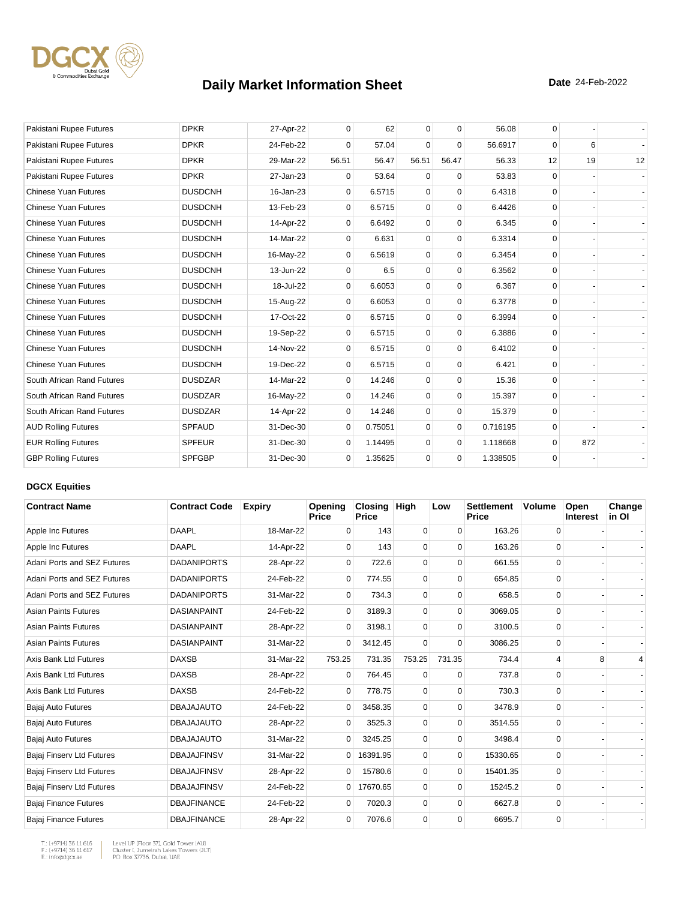

| Pakistani Rupee Futures     | <b>DPKR</b>    | 27-Apr-22 | $\mathbf{0}$ | 62      | $\mathbf 0$ | $\mathbf 0$ | 56.08    | 0        |     |    |
|-----------------------------|----------------|-----------|--------------|---------|-------------|-------------|----------|----------|-----|----|
| Pakistani Rupee Futures     | <b>DPKR</b>    | 24-Feb-22 | $\Omega$     | 57.04   | $\mathbf 0$ | $\Omega$    | 56.6917  | $\Omega$ | 6   |    |
| Pakistani Rupee Futures     | <b>DPKR</b>    | 29-Mar-22 | 56.51        | 56.47   | 56.51       | 56.47       | 56.33    | 12       | 19  | 12 |
| Pakistani Rupee Futures     | <b>DPKR</b>    | 27-Jan-23 | 0            | 53.64   | $\mathbf 0$ | $\mathbf 0$ | 53.83    | $\Omega$ |     |    |
| <b>Chinese Yuan Futures</b> | <b>DUSDCNH</b> | 16-Jan-23 | 0            | 6.5715  | $\mathbf 0$ | $\mathbf 0$ | 6.4318   | $\Omega$ |     |    |
| <b>Chinese Yuan Futures</b> | <b>DUSDCNH</b> | 13-Feb-23 | 0            | 6.5715  | $\mathbf 0$ | $\mathbf 0$ | 6.4426   | $\Omega$ |     |    |
| <b>Chinese Yuan Futures</b> | <b>DUSDCNH</b> | 14-Apr-22 | 0            | 6.6492  | $\mathbf 0$ | $\mathbf 0$ | 6.345    | $\Omega$ |     |    |
| <b>Chinese Yuan Futures</b> | <b>DUSDCNH</b> | 14-Mar-22 | $\Omega$     | 6.631   | $\mathbf 0$ | $\mathbf 0$ | 6.3314   | $\Omega$ |     |    |
| <b>Chinese Yuan Futures</b> | <b>DUSDCNH</b> | 16-May-22 | $\Omega$     | 6.5619  | $\mathbf 0$ | $\Omega$    | 6.3454   | $\Omega$ |     |    |
| <b>Chinese Yuan Futures</b> | <b>DUSDCNH</b> | 13-Jun-22 | $\mathbf{0}$ | 6.5     | $\mathbf 0$ | $\mathbf 0$ | 6.3562   | $\Omega$ |     |    |
| <b>Chinese Yuan Futures</b> | <b>DUSDCNH</b> | 18-Jul-22 | $\mathbf 0$  | 6.6053  | $\mathbf 0$ | $\mathbf 0$ | 6.367    | $\Omega$ |     |    |
| <b>Chinese Yuan Futures</b> | <b>DUSDCNH</b> | 15-Aug-22 | $\mathbf 0$  | 6.6053  | $\mathbf 0$ | $\mathbf 0$ | 6.3778   | $\Omega$ |     |    |
| <b>Chinese Yuan Futures</b> | <b>DUSDCNH</b> | 17-Oct-22 | 0            | 6.5715  | $\mathbf 0$ | $\mathbf 0$ | 6.3994   | $\Omega$ |     |    |
| <b>Chinese Yuan Futures</b> | <b>DUSDCNH</b> | 19-Sep-22 | 0            | 6.5715  | $\mathbf 0$ | $\mathbf 0$ | 6.3886   | $\Omega$ |     |    |
| <b>Chinese Yuan Futures</b> | <b>DUSDCNH</b> | 14-Nov-22 | $\mathbf{0}$ | 6.5715  | $\mathbf 0$ | $\mathbf 0$ | 6.4102   | $\Omega$ |     |    |
| <b>Chinese Yuan Futures</b> | <b>DUSDCNH</b> | 19-Dec-22 | 0            | 6.5715  | $\mathbf 0$ | $\Omega$    | 6.421    | $\Omega$ |     |    |
| South African Rand Futures  | <b>DUSDZAR</b> | 14-Mar-22 | 0            | 14.246  | $\mathbf 0$ | $\mathbf 0$ | 15.36    | $\Omega$ |     |    |
| South African Rand Futures  | <b>DUSDZAR</b> | 16-May-22 | $\mathbf 0$  | 14.246  | $\mathbf 0$ | $\mathbf 0$ | 15.397   | $\Omega$ |     |    |
| South African Rand Futures  | <b>DUSDZAR</b> | 14-Apr-22 | $\Omega$     | 14.246  | $\mathbf 0$ | $\mathbf 0$ | 15.379   | $\Omega$ |     |    |
| <b>AUD Rolling Futures</b>  | <b>SPFAUD</b>  | 31-Dec-30 | $\mathbf 0$  | 0.75051 | $\Omega$    | $\mathbf 0$ | 0.716195 | $\Omega$ |     |    |
| <b>EUR Rolling Futures</b>  | <b>SPFEUR</b>  | 31-Dec-30 | $\Omega$     | 1.14495 | $\mathbf 0$ | $\mathbf 0$ | 1.118668 | $\Omega$ | 872 |    |
| <b>GBP Rolling Futures</b>  | <b>SPFGBP</b>  | 31-Dec-30 | $\mathbf{0}$ | 1.35625 | $\mathbf 0$ | $\mathbf 0$ | 1.338505 | $\Omega$ |     |    |

#### **DGCX Equities**

| <b>Contract Name</b>        | <b>Contract Code</b> | <b>Expiry</b> | Opening<br><b>Price</b> | Closing<br><b>Price</b> | <b>High</b> | Low         | <b>Settlement</b><br>Price | <b>Volume</b> | Open<br><b>Interest</b> | Change<br>in OI |
|-----------------------------|----------------------|---------------|-------------------------|-------------------------|-------------|-------------|----------------------------|---------------|-------------------------|-----------------|
| Apple Inc Futures           | <b>DAAPL</b>         | 18-Mar-22     | $\Omega$                | 143                     | 0           | $\Omega$    | 163.26                     | 0             |                         |                 |
| Apple Inc Futures           | <b>DAAPL</b>         | 14-Apr-22     | $\Omega$                | 143                     | 0           | 0           | 163.26                     | 0             |                         |                 |
| Adani Ports and SEZ Futures | <b>DADANIPORTS</b>   | 28-Apr-22     | 0                       | 722.6                   | $\mathbf 0$ | 0           | 661.55                     | $\mathbf 0$   |                         |                 |
| Adani Ports and SEZ Futures | <b>DADANIPORTS</b>   | 24-Feb-22     | $\mathbf 0$             | 774.55                  | 0           | $\Omega$    | 654.85                     | 0             |                         |                 |
| Adani Ports and SEZ Futures | <b>DADANIPORTS</b>   | 31-Mar-22     | $\Omega$                | 734.3                   | 0           | 0           | 658.5                      | 0             |                         |                 |
| <b>Asian Paints Futures</b> | <b>DASIANPAINT</b>   | 24-Feb-22     | $\Omega$                | 3189.3                  | 0           | $\Omega$    | 3069.05                    | 0             |                         |                 |
| <b>Asian Paints Futures</b> | <b>DASIANPAINT</b>   | 28-Apr-22     | $\Omega$                | 3198.1                  | $\Omega$    | $\Omega$    | 3100.5                     | $\Omega$      |                         |                 |
| <b>Asian Paints Futures</b> | <b>DASIANPAINT</b>   | 31-Mar-22     | $\overline{0}$          | 3412.45                 | $\mathbf 0$ | $\Omega$    | 3086.25                    | 0             |                         |                 |
| Axis Bank Ltd Futures       | <b>DAXSB</b>         | 31-Mar-22     | 753.25                  | 731.35                  | 753.25      | 731.35      | 734.4                      | 4             | 8                       |                 |
| Axis Bank Ltd Futures       | <b>DAXSB</b>         | 28-Apr-22     | $\mathbf 0$             | 764.45                  | 0           | 0           | 737.8                      | 0             |                         |                 |
| Axis Bank Ltd Futures       | <b>DAXSB</b>         | 24-Feb-22     | 0                       | 778.75                  | 0           | 0           | 730.3                      | 0             |                         |                 |
| Bajaj Auto Futures          | <b>DBAJAJAUTO</b>    | 24-Feb-22     | 0                       | 3458.35                 | 0           | $\mathbf 0$ | 3478.9                     | $\mathbf 0$   |                         |                 |
| Bajaj Auto Futures          | <b>DBAJAJAUTO</b>    | 28-Apr-22     | $\Omega$                | 3525.3                  | $\Omega$    | $\Omega$    | 3514.55                    | $\Omega$      |                         |                 |
| Bajaj Auto Futures          | <b>DBAJAJAUTO</b>    | 31-Mar-22     | $\mathbf{0}$            | 3245.25                 | $\mathbf 0$ | 0           | 3498.4                     | 0             |                         |                 |
| Bajaj Finserv Ltd Futures   | <b>DBAJAJFINSV</b>   | 31-Mar-22     | $\overline{0}$          | 16391.95                | 0           | 0           | 15330.65                   | 0             |                         |                 |
| Bajaj Finserv Ltd Futures   | <b>DBAJAJFINSV</b>   | 28-Apr-22     | 0                       | 15780.6                 | 0           | $\Omega$    | 15401.35                   | 0             |                         |                 |
| Bajaj Finserv Ltd Futures   | <b>DBAJAJFINSV</b>   | 24-Feb-22     | $\overline{0}$          | 17670.65                | $\mathbf 0$ | $\Omega$    | 15245.2                    | 0             |                         |                 |
| Bajaj Finance Futures       | <b>DBAJFINANCE</b>   | 24-Feb-22     | $\Omega$                | 7020.3                  | 0           | $\Omega$    | 6627.8                     | 0             |                         |                 |
| Bajaj Finance Futures       | <b>DBAJFINANCE</b>   | 28-Apr-22     | $\mathbf 0$             | 7076.6                  | 0           | $\Omega$    | 6695.7                     | 0             |                         |                 |

T.: (+9714) 36 11 616<br>F.: (+9714) 36 11 617<br>E.: info@dgcx.ae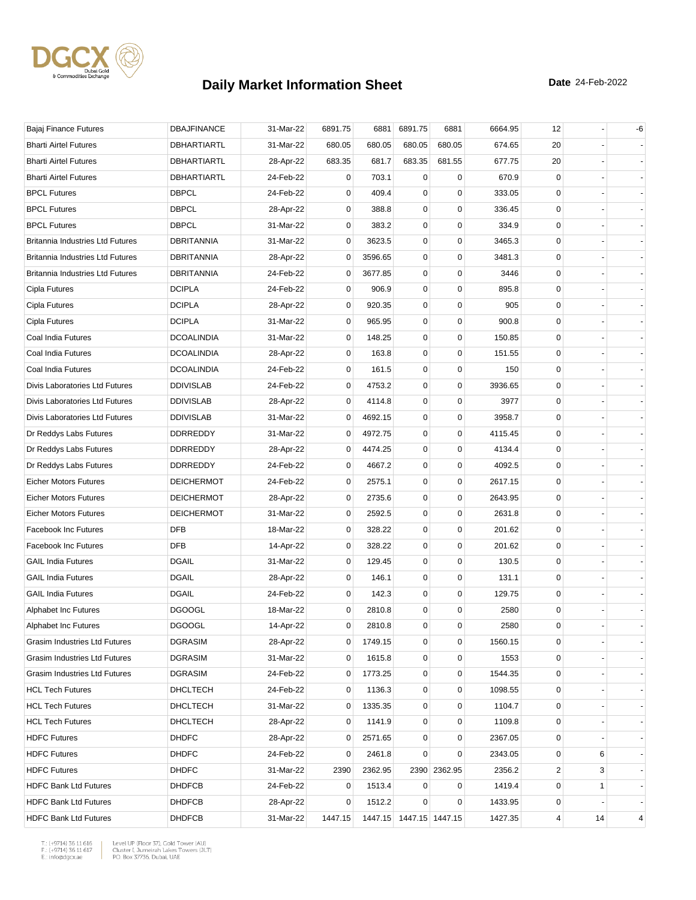

| Bajaj Finance Futures                   | <b>DBAJFINANCE</b> | 31-Mar-22 | 6891.75     | 6881    | 6891.75                 | 6881         | 6664.95 | 12                      |    | -6 |
|-----------------------------------------|--------------------|-----------|-------------|---------|-------------------------|--------------|---------|-------------------------|----|----|
| <b>Bharti Airtel Futures</b>            | DBHARTIARTL        | 31-Mar-22 | 680.05      | 680.05  | 680.05                  | 680.05       | 674.65  | 20                      |    |    |
| <b>Bharti Airtel Futures</b>            | DBHARTIARTL        | 28-Apr-22 | 683.35      | 681.7   | 683.35                  | 681.55       | 677.75  | 20                      |    |    |
| <b>Bharti Airtel Futures</b>            | <b>DBHARTIARTL</b> | 24-Feb-22 | 0           | 703.1   | 0                       | 0            | 670.9   | 0                       |    |    |
| <b>BPCL Futures</b>                     | <b>DBPCL</b>       | 24-Feb-22 | 0           | 409.4   | 0                       | $\mathbf 0$  | 333.05  | 0                       |    |    |
| <b>BPCL Futures</b>                     | <b>DBPCL</b>       | 28-Apr-22 | 0           | 388.8   | 0                       | $\mathbf 0$  | 336.45  | 0                       |    |    |
| <b>BPCL Futures</b>                     | <b>DBPCL</b>       | 31-Mar-22 | 0           | 383.2   | 0                       | 0            | 334.9   | 0                       |    |    |
| Britannia Industries Ltd Futures        | DBRITANNIA         | 31-Mar-22 | 0           | 3623.5  | 0                       | 0            | 3465.3  | 0                       |    |    |
| <b>Britannia Industries Ltd Futures</b> | DBRITANNIA         | 28-Apr-22 | 0           | 3596.65 | $\pmb{0}$               | $\mathbf 0$  | 3481.3  | 0                       |    |    |
| <b>Britannia Industries Ltd Futures</b> | <b>DBRITANNIA</b>  | 24-Feb-22 | 0           | 3677.85 | 0                       | $\mathbf 0$  | 3446    | 0                       |    |    |
| Cipla Futures                           | <b>DCIPLA</b>      | 24-Feb-22 | 0           | 906.9   | 0                       | $\mathbf 0$  | 895.8   | 0                       |    |    |
| Cipla Futures                           | <b>DCIPLA</b>      | 28-Apr-22 | 0           | 920.35  | 0                       | $\mathbf 0$  | 905     | 0                       |    |    |
| Cipla Futures                           | <b>DCIPLA</b>      | 31-Mar-22 | 0           | 965.95  | 0                       | 0            | 900.8   | 0                       |    |    |
| Coal India Futures                      | <b>DCOALINDIA</b>  | 31-Mar-22 | 0           | 148.25  | 0                       | $\mathbf 0$  | 150.85  | $\mathbf 0$             |    |    |
| Coal India Futures                      | <b>DCOALINDIA</b>  | 28-Apr-22 | 0           | 163.8   | 0                       | $\mathbf 0$  | 151.55  | 0                       |    |    |
| Coal India Futures                      | <b>DCOALINDIA</b>  | 24-Feb-22 | 0           | 161.5   | 0                       | 0            | 150     | 0                       |    |    |
| Divis Laboratories Ltd Futures          | <b>DDIVISLAB</b>   | 24-Feb-22 | 0           | 4753.2  | 0                       | $\mathbf 0$  | 3936.65 | $\mathbf 0$             |    |    |
| Divis Laboratories Ltd Futures          | <b>DDIVISLAB</b>   | 28-Apr-22 | 0           | 4114.8  | 0                       | $\mathbf 0$  | 3977    | 0                       |    |    |
| Divis Laboratories Ltd Futures          | <b>DDIVISLAB</b>   | 31-Mar-22 | 0           | 4692.15 | 0                       | 0            | 3958.7  | 0                       |    |    |
| Dr Reddys Labs Futures                  | <b>DDRREDDY</b>    | 31-Mar-22 | 0           | 4972.75 | 0                       | $\mathbf 0$  | 4115.45 | 0                       |    |    |
| Dr Reddys Labs Futures                  | <b>DDRREDDY</b>    | 28-Apr-22 | 0           | 4474.25 | $\mathbf 0$             | $\mathbf 0$  | 4134.4  | 0                       |    |    |
| Dr Reddys Labs Futures                  | <b>DDRREDDY</b>    | 24-Feb-22 | 0           | 4667.2  | $\mathbf 0$             | $\mathbf 0$  | 4092.5  | 0                       |    |    |
| <b>Eicher Motors Futures</b>            | <b>DEICHERMOT</b>  | 24-Feb-22 | 0           | 2575.1  | 0                       | $\mathbf 0$  | 2617.15 | 0                       |    |    |
| <b>Eicher Motors Futures</b>            | <b>DEICHERMOT</b>  | 28-Apr-22 | 0           | 2735.6  | 0                       | $\mathbf 0$  | 2643.95 | 0                       |    |    |
| <b>Eicher Motors Futures</b>            | <b>DEICHERMOT</b>  | 31-Mar-22 | 0           | 2592.5  | 0                       | $\mathbf 0$  | 2631.8  | 0                       |    |    |
| <b>Facebook Inc Futures</b>             | <b>DFB</b>         | 18-Mar-22 | 0           | 328.22  | $\pmb{0}$               | $\mathbf 0$  | 201.62  | 0                       |    |    |
| <b>Facebook Inc Futures</b>             | <b>DFB</b>         | 14-Apr-22 | 0           | 328.22  | 0                       | $\mathbf 0$  | 201.62  | 0                       |    |    |
| <b>GAIL India Futures</b>               | <b>DGAIL</b>       | 31-Mar-22 | 0           | 129.45  | 0                       | $\mathbf 0$  | 130.5   | 0                       |    |    |
| <b>GAIL India Futures</b>               | <b>DGAIL</b>       | 28-Apr-22 | 0           | 146.1   | 0                       | $\mathbf 0$  | 131.1   | 0                       |    |    |
| <b>GAIL India Futures</b>               | <b>DGAIL</b>       | 24-Feb-22 | 0           | 142.3   | 0                       | 0            | 129.75  | 0                       |    |    |
| Alphabet Inc Futures                    | <b>DGOOGL</b>      | 18-Mar-22 | 0           | 2810.8  | 0                       | $\mathbf 0$  | 2580    | 0                       |    |    |
| Alphabet Inc Futures                    | <b>DGOOGL</b>      | 14-Apr-22 | $\mathbf 0$ | 2810.8  | $\mathbf 0$             | $\mathbf 0$  | 2580    | $\mathbf{0}$            |    |    |
| Grasim Industries Ltd Futures           | <b>DGRASIM</b>     | 28-Apr-22 | 0           | 1749.15 | 0                       | 0            | 1560.15 | 0                       |    |    |
| Grasim Industries Ltd Futures           | <b>DGRASIM</b>     | 31-Mar-22 | $\mathbf 0$ | 1615.8  | 0                       | $\mathbf 0$  | 1553    | 0                       |    |    |
| Grasim Industries Ltd Futures           | <b>DGRASIM</b>     | 24-Feb-22 | 0           | 1773.25 | 0                       | 0            | 1544.35 | 0                       |    |    |
| <b>HCL Tech Futures</b>                 | <b>DHCLTECH</b>    | 24-Feb-22 | 0           | 1136.3  | 0                       | 0            | 1098.55 | 0                       |    |    |
| <b>HCL Tech Futures</b>                 | DHCLTECH           | 31-Mar-22 | 0           | 1335.35 | 0                       | $\mathbf 0$  | 1104.7  | 0                       |    |    |
| <b>HCL Tech Futures</b>                 | DHCLTECH           | 28-Apr-22 | 0           | 1141.9  | 0                       | 0            | 1109.8  | 0                       |    |    |
| <b>HDFC Futures</b>                     | <b>DHDFC</b>       | 28-Apr-22 | 0           | 2571.65 | 0                       | 0            | 2367.05 | 0                       |    |    |
| <b>HDFC Futures</b>                     | <b>DHDFC</b>       | 24-Feb-22 | 0           | 2461.8  | 0                       | 0            | 2343.05 | 0                       | 6  |    |
| <b>HDFC Futures</b>                     | <b>DHDFC</b>       | 31-Mar-22 | 2390        | 2362.95 |                         | 2390 2362.95 | 2356.2  | $\overline{\mathbf{c}}$ | 3  |    |
| <b>HDFC Bank Ltd Futures</b>            | <b>DHDFCB</b>      | 24-Feb-22 | 0           | 1513.4  | 0                       | 0            | 1419.4  | 0                       | 1  |    |
| <b>HDFC Bank Ltd Futures</b>            | <b>DHDFCB</b>      | 28-Apr-22 | 0           | 1512.2  | 0                       | 0            | 1433.95 | 0                       |    |    |
| <b>HDFC Bank Ltd Futures</b>            | <b>DHDFCB</b>      | 31-Mar-22 | 1447.15     |         | 1447.15 1447.15 1447.15 |              | 1427.35 | 4                       | 14 | 4  |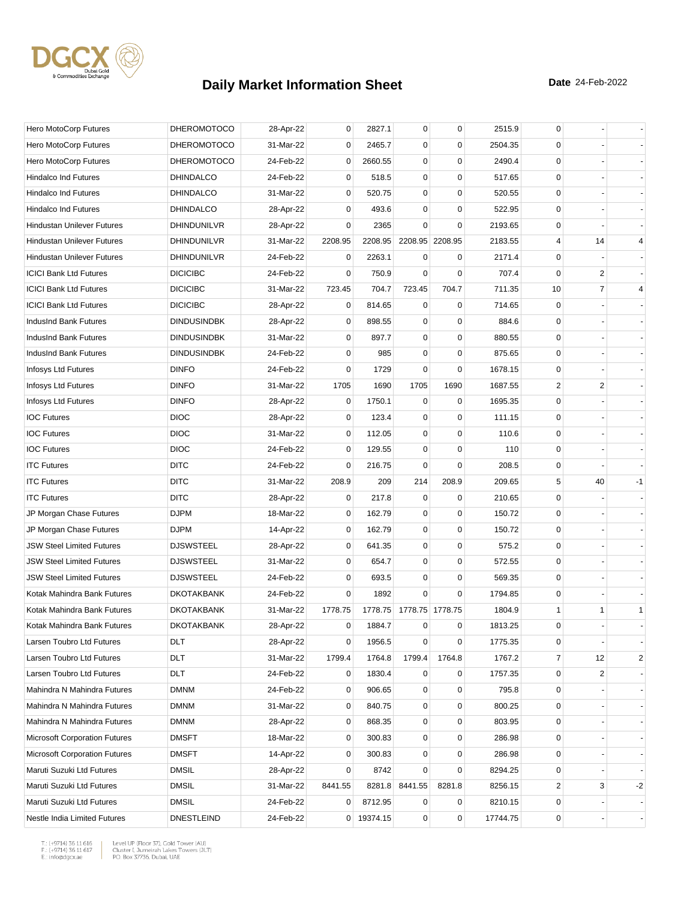

| Hero MotoCorp Futures                | <b>DHEROMOTOCO</b> | 28-Apr-22 | 0       | 2827.1     | 0           | $\mathbf 0$     | 2515.9   | 0                       |                |                |
|--------------------------------------|--------------------|-----------|---------|------------|-------------|-----------------|----------|-------------------------|----------------|----------------|
| Hero MotoCorp Futures                | <b>DHEROMOTOCO</b> | 31-Mar-22 | 0       | 2465.7     | $\mathbf 0$ | $\mathbf 0$     | 2504.35  | 0                       |                |                |
| Hero MotoCorp Futures                | <b>DHEROMOTOCO</b> | 24-Feb-22 | 0       | 2660.55    | 0           | $\mathbf 0$     | 2490.4   | $\mathbf 0$             |                |                |
| Hindalco Ind Futures                 | <b>DHINDALCO</b>   | 24-Feb-22 | 0       | 518.5      | 0           | $\mathbf 0$     | 517.65   | 0                       |                |                |
| <b>Hindalco Ind Futures</b>          | <b>DHINDALCO</b>   | 31-Mar-22 | 0       | 520.75     | 0           | $\mathbf 0$     | 520.55   | $\mathbf 0$             |                |                |
| <b>Hindalco Ind Futures</b>          | <b>DHINDALCO</b>   | 28-Apr-22 | 0       | 493.6      | $\mathbf 0$ | $\mathbf 0$     | 522.95   | 0                       |                |                |
| <b>Hindustan Unilever Futures</b>    | DHINDUNILVR        | 28-Apr-22 | 0       | 2365       | $\Omega$    | $\mathbf 0$     | 2193.65  | 0                       |                |                |
| <b>Hindustan Unilever Futures</b>    | DHINDUNILVR        | 31-Mar-22 | 2208.95 | 2208.95    |             | 2208.95 2208.95 | 2183.55  | 4                       | 14             | $\overline{4}$ |
| <b>Hindustan Unilever Futures</b>    | DHINDUNILVR        | 24-Feb-22 | 0       | 2263.1     | 0           | 0               | 2171.4   | 0                       |                |                |
| <b>ICICI Bank Ltd Futures</b>        | <b>DICICIBC</b>    | 24-Feb-22 | 0       | 750.9      | $\mathbf 0$ | $\mathbf 0$     | 707.4    | $\mathbf 0$             | 2              |                |
| <b>ICICI Bank Ltd Futures</b>        | <b>DICICIBC</b>    | 31-Mar-22 | 723.45  | 704.7      | 723.45      | 704.7           | 711.35   | 10                      | $\overline{7}$ | 4              |
| <b>ICICI Bank Ltd Futures</b>        | <b>DICICIBC</b>    | 28-Apr-22 | 0       | 814.65     | 0           | 0               | 714.65   | 0                       |                |                |
| IndusInd Bank Futures                | <b>DINDUSINDBK</b> | 28-Apr-22 | 0       | 898.55     | 0           | 0               | 884.6    | 0                       |                |                |
| IndusInd Bank Futures                | <b>DINDUSINDBK</b> | 31-Mar-22 | 0       | 897.7      | $\mathbf 0$ | $\mathbf 0$     | 880.55   | 0                       |                |                |
| IndusInd Bank Futures                | <b>DINDUSINDBK</b> | 24-Feb-22 | 0       | 985        | $\mathbf 0$ | $\mathbf 0$     | 875.65   | 0                       |                |                |
| Infosys Ltd Futures                  | <b>DINFO</b>       | 24-Feb-22 | 0       | 1729       | 0           | 0               | 1678.15  | 0                       |                |                |
| Infosys Ltd Futures                  | <b>DINFO</b>       | 31-Mar-22 | 1705    | 1690       | 1705        | 1690            | 1687.55  | $\overline{\mathbf{c}}$ | 2              |                |
| Infosys Ltd Futures                  | <b>DINFO</b>       | 28-Apr-22 | 0       | 1750.1     | $\mathbf 0$ | $\mathbf 0$     | 1695.35  | 0                       |                |                |
| <b>IOC Futures</b>                   | <b>DIOC</b>        | 28-Apr-22 | 0       | 123.4      | 0           | 0               | 111.15   | 0                       |                |                |
| <b>IOC Futures</b>                   | <b>DIOC</b>        | 31-Mar-22 | 0       | 112.05     | $\mathbf 0$ | $\mathbf 0$     | 110.6    | 0                       |                |                |
| <b>IOC Futures</b>                   | <b>DIOC</b>        | 24-Feb-22 | 0       | 129.55     | $\mathbf 0$ | $\mathbf 0$     | 110      | 0                       |                |                |
| <b>ITC Futures</b>                   | <b>DITC</b>        | 24-Feb-22 | 0       | 216.75     | $\mathbf 0$ | $\mathbf 0$     | 208.5    | 0                       |                |                |
| <b>ITC Futures</b>                   | <b>DITC</b>        | 31-Mar-22 | 208.9   | 209        | 214         | 208.9           | 209.65   | 5                       | 40             | $-1$           |
| <b>ITC Futures</b>                   | <b>DITC</b>        | 28-Apr-22 | 0       | 217.8      | $\mathbf 0$ | $\mathbf 0$     | 210.65   | 0                       |                |                |
| JP Morgan Chase Futures              | <b>DJPM</b>        | 18-Mar-22 | 0       | 162.79     | $\mathbf 0$ | 0               | 150.72   | 0                       |                |                |
| JP Morgan Chase Futures              | <b>DJPM</b>        | 14-Apr-22 | 0       | 162.79     | 0           | $\mathbf 0$     | 150.72   | 0                       |                |                |
| <b>JSW Steel Limited Futures</b>     | <b>DJSWSTEEL</b>   | 28-Apr-22 | 0       | 641.35     | 0           | $\mathbf 0$     | 575.2    | 0                       |                |                |
| <b>JSW Steel Limited Futures</b>     | <b>DJSWSTEEL</b>   | 31-Mar-22 | 0       | 654.7      | 0           | $\mathbf 0$     | 572.55   | $\mathbf 0$             |                |                |
| <b>JSW Steel Limited Futures</b>     | <b>DJSWSTEEL</b>   | 24-Feb-22 | 0       | 693.5      | 0           | $\mathbf 0$     | 569.35   | 0                       |                |                |
| Kotak Mahindra Bank Futures          | <b>DKOTAKBANK</b>  | 24-Feb-22 | 0       | 1892       | $\mathbf 0$ | $\mathbf 0$     | 1794.85  | 0                       |                |                |
| Kotak Mahindra Bank Futures          | <b>DKOTAKBANK</b>  | 31-Mar-22 | 1778.75 | 1778.75    |             | 1778.75 1778.75 | 1804.9   | 1                       | 1              | $\mathbf{1}$   |
| Kotak Mahindra Bank Futures          | <b>DKOTAKBANK</b>  | 28-Apr-22 | 0       | 1884.7     | $\mathbf 0$ | 0               | 1813.25  | $\mathbf 0$             |                |                |
| Larsen Toubro Ltd Futures            | DLT                | 28-Apr-22 | 0       | 1956.5     | 0           | $\pmb{0}$       | 1775.35  | 0                       |                |                |
| Larsen Toubro Ltd Futures            | DLT                | 31-Mar-22 | 1799.4  | 1764.8     | 1799.4      | 1764.8          | 1767.2   | $\overline{7}$          | 12             | 2              |
| Larsen Toubro Ltd Futures            | <b>DLT</b>         | 24-Feb-22 | 0       | 1830.4     | 0           | 0               | 1757.35  | 0                       | 2              |                |
| Mahindra N Mahindra Futures          | <b>DMNM</b>        | 24-Feb-22 | 0       | 906.65     | 0           | 0               | 795.8    | 0                       |                |                |
| Mahindra N Mahindra Futures          | <b>DMNM</b>        | 31-Mar-22 | 0       | 840.75     | 0           | $\mathbf 0$     | 800.25   | 0                       |                |                |
| Mahindra N Mahindra Futures          | <b>DMNM</b>        | 28-Apr-22 | 0       | 868.35     | 0           | $\pmb{0}$       | 803.95   | 0                       |                |                |
| <b>Microsoft Corporation Futures</b> | <b>DMSFT</b>       | 18-Mar-22 | 0       | 300.83     | 0           | 0               | 286.98   | 0                       |                |                |
| <b>Microsoft Corporation Futures</b> | <b>DMSFT</b>       | 14-Apr-22 | 0       | 300.83     | 0           | $\mathbf 0$     | 286.98   | 0                       |                |                |
| Maruti Suzuki Ltd Futures            | <b>DMSIL</b>       | 28-Apr-22 | 0       | 8742       | $\mathbf 0$ | $\mathbf 0$     | 8294.25  | 0                       |                |                |
| Maruti Suzuki Ltd Futures            | <b>DMSIL</b>       | 31-Mar-22 | 8441.55 | 8281.8     | 8441.55     | 8281.8          | 8256.15  | 2                       | 3              | -2             |
| Maruti Suzuki Ltd Futures            | <b>DMSIL</b>       | 24-Feb-22 | 0       | 8712.95    | 0           | 0               | 8210.15  | 0                       |                |                |
| Nestle India Limited Futures         | <b>DNESTLEIND</b>  | 24-Feb-22 |         | 0 19374.15 | 0           | $\mathbf 0$     | 17744.75 | 0                       |                |                |

 $\begin{tabular}{|l|l|l|l|} \hline $\mathsf{T}$: $(+9714)$ 36 11 616 & \textit{Level UP (Flow 37)},\textit{Gold Tower (AU)}$ \\ \hline \multicolumn{3}{|l|}{\mathsf{F}}:\\ $(+9714)$ 36 11 617 & \textit{Cluster I, Jumerirah Lakes Tower (JUT)}$ \\ \multicolumn{3}{|l|}{\mathsf{E}}:\\ $\text{infogdgcxae}$ & \multicolumn{3}{|l|}{\mathsf{PO}}. \textit{Box 37736, Dubai, UAE} \hline \end{tabular}$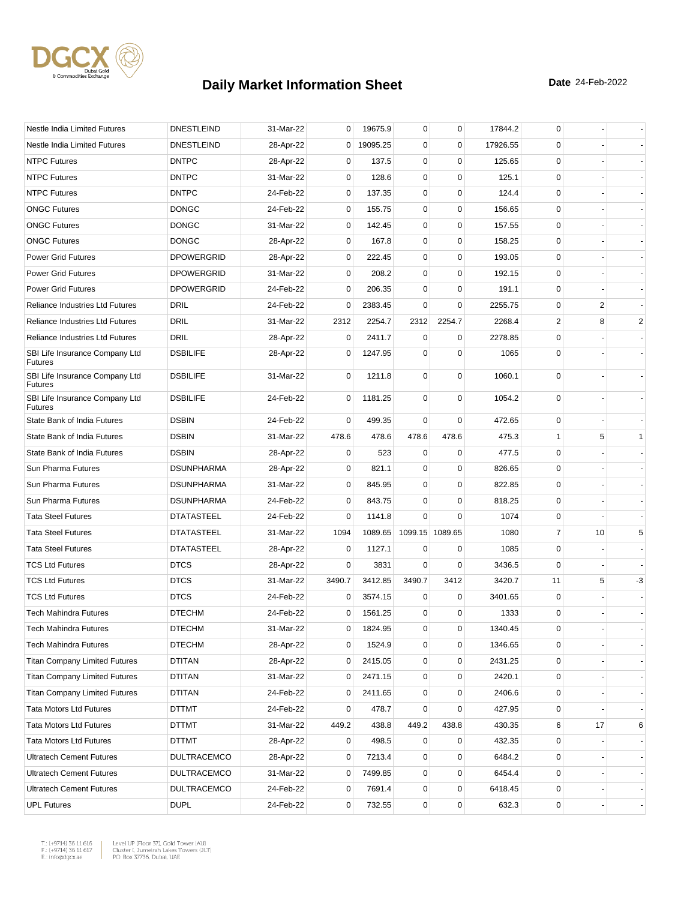

| Nestle India Limited Futures                     | <b>DNESTLEIND</b>  | 31-Mar-22 | 0            | 19675.9  | 0           | 0               | 17844.2  | 0            |                |                          |
|--------------------------------------------------|--------------------|-----------|--------------|----------|-------------|-----------------|----------|--------------|----------------|--------------------------|
| Nestle India Limited Futures                     | <b>DNESTLEIND</b>  | 28-Apr-22 | $\mathbf{0}$ | 19095.25 | 0           | 0               | 17926.55 | 0            |                |                          |
| <b>NTPC Futures</b>                              | <b>DNTPC</b>       | 28-Apr-22 | 0            | 137.5    | 0           | $\mathbf 0$     | 125.65   | 0            |                |                          |
| <b>NTPC Futures</b>                              | <b>DNTPC</b>       | 31-Mar-22 | 0            | 128.6    | 0           | $\mathbf 0$     | 125.1    | 0            |                |                          |
| <b>NTPC Futures</b>                              | <b>DNTPC</b>       | 24-Feb-22 | 0            | 137.35   | 0           | $\mathbf 0$     | 124.4    | 0            |                |                          |
| <b>ONGC Futures</b>                              | <b>DONGC</b>       | 24-Feb-22 | $\mathbf 0$  | 155.75   | 0           | $\mathbf 0$     | 156.65   | 0            |                |                          |
| <b>ONGC Futures</b>                              | <b>DONGC</b>       | 31-Mar-22 | 0            | 142.45   | 0           | $\mathbf 0$     | 157.55   | 0            |                |                          |
| <b>ONGC Futures</b>                              | <b>DONGC</b>       | 28-Apr-22 | 0            | 167.8    | 0           | 0               | 158.25   | 0            |                |                          |
| <b>Power Grid Futures</b>                        | <b>DPOWERGRID</b>  | 28-Apr-22 | 0            | 222.45   | 0           | 0               | 193.05   | 0            |                |                          |
| Power Grid Futures                               | <b>DPOWERGRID</b>  | 31-Mar-22 | 0            | 208.2    | $\mathbf 0$ | $\mathbf 0$     | 192.15   | 0            |                |                          |
| <b>Power Grid Futures</b>                        | <b>DPOWERGRID</b>  | 24-Feb-22 | 0            | 206.35   | 0           | 0               | 191.1    | 0            |                |                          |
| <b>Reliance Industries Ltd Futures</b>           | DRIL               | 24-Feb-22 | $\mathbf 0$  | 2383.45  | $\mathbf 0$ | $\mathbf 0$     | 2255.75  | 0            | $\overline{c}$ |                          |
| <b>Reliance Industries Ltd Futures</b>           | <b>DRIL</b>        | 31-Mar-22 | 2312         | 2254.7   | 2312        | 2254.7          | 2268.4   | 2            | 8              | $\overline{c}$           |
| <b>Reliance Industries Ltd Futures</b>           | <b>DRIL</b>        | 28-Apr-22 | 0            | 2411.7   | 0           | 0               | 2278.85  | 0            |                |                          |
| SBI Life Insurance Company Ltd<br><b>Futures</b> | <b>DSBILIFE</b>    | 28-Apr-22 | 0            | 1247.95  | 0           | $\mathbf 0$     | 1065     | 0            |                |                          |
| SBI Life Insurance Company Ltd<br><b>Futures</b> | <b>DSBILIFE</b>    | 31-Mar-22 | $\mathbf 0$  | 1211.8   | 0           | $\mathbf 0$     | 1060.1   | 0            |                |                          |
| SBI Life Insurance Company Ltd<br><b>Futures</b> | <b>DSBILIFE</b>    | 24-Feb-22 | 0            | 1181.25  | $\mathbf 0$ | $\mathbf 0$     | 1054.2   | 0            |                |                          |
| State Bank of India Futures                      | <b>DSBIN</b>       | 24-Feb-22 | 0            | 499.35   | 0           | 0               | 472.65   | 0            |                |                          |
| State Bank of India Futures                      | <b>DSBIN</b>       | 31-Mar-22 | 478.6        | 478.6    | 478.6       | 478.6           | 475.3    | $\mathbf{1}$ | 5              | $\mathbf{1}$             |
| State Bank of India Futures                      | <b>DSBIN</b>       | 28-Apr-22 | 0            | 523      | 0           | 0               | 477.5    | 0            |                |                          |
| Sun Pharma Futures                               | <b>DSUNPHARMA</b>  | 28-Apr-22 | 0            | 821.1    | 0           | $\mathbf 0$     | 826.65   | 0            |                |                          |
| Sun Pharma Futures                               | <b>DSUNPHARMA</b>  | 31-Mar-22 | 0            | 845.95   | 0           | 0               | 822.85   | 0            |                |                          |
| Sun Pharma Futures                               | <b>DSUNPHARMA</b>  | 24-Feb-22 | 0            | 843.75   | 0           | 0               | 818.25   | 0            |                |                          |
| <b>Tata Steel Futures</b>                        | <b>DTATASTEEL</b>  | 24-Feb-22 | 0            | 1141.8   | $\mathbf 0$ | $\mathbf 0$     | 1074     | 0            |                |                          |
| <b>Tata Steel Futures</b>                        | <b>DTATASTEEL</b>  | 31-Mar-22 | 1094         | 1089.65  |             | 1099.15 1089.65 | 1080     | 7            | 10             | 5                        |
| <b>Tata Steel Futures</b>                        | <b>DTATASTEEL</b>  | 28-Apr-22 | 0            | 1127.1   | 0           | 0               | 1085     | 0            |                |                          |
| <b>TCS Ltd Futures</b>                           | <b>DTCS</b>        | 28-Apr-22 | $\mathbf 0$  | 3831     | $\Omega$    | $\mathbf 0$     | 3436.5   | $\mathbf 0$  |                |                          |
| <b>TCS Ltd Futures</b>                           | <b>DTCS</b>        | 31-Mar-22 | 3490.7       | 3412.85  | 3490.7      | 3412            | 3420.7   | 11           | 5              | -3                       |
| <b>TCS Ltd Futures</b>                           | <b>DTCS</b>        | 24-Feb-22 | 0            | 3574.15  | 0           | 0               | 3401.65  | 0            |                |                          |
| <b>Tech Mahindra Futures</b>                     | <b>DTECHM</b>      | 24-Feb-22 | 0            | 1561.25  | 0           | $\mathbf 0$     | 1333     | 0            |                |                          |
| Tech Mahindra Futures                            | <b>DTECHM</b>      | 31-Mar-22 | 0            | 1824.95  | 0           | $\Omega$        | 1340.45  | $\Omega$     |                |                          |
| <b>Tech Mahindra Futures</b>                     | <b>DTECHM</b>      | 28-Apr-22 | 0            | 1524.9   | 0           | $\mathbf 0$     | 1346.65  | 0            |                |                          |
| <b>Titan Company Limited Futures</b>             | <b>DTITAN</b>      | 28-Apr-22 | 0            | 2415.05  | 0           | $\pmb{0}$       | 2431.25  | 0            |                |                          |
| <b>Titan Company Limited Futures</b>             | <b>DTITAN</b>      | 31-Mar-22 | 0            | 2471.15  | 0           | 0               | 2420.1   | 0            |                |                          |
| <b>Titan Company Limited Futures</b>             | <b>DTITAN</b>      | 24-Feb-22 | 0            | 2411.65  | 0           | $\mathbf 0$     | 2406.6   | 0            |                |                          |
| <b>Tata Motors Ltd Futures</b>                   | <b>DTTMT</b>       | 24-Feb-22 | 0            | 478.7    | 0           | 0               | 427.95   | 0            |                |                          |
| <b>Tata Motors Ltd Futures</b>                   | DTTMT              | 31-Mar-22 | 449.2        | 438.8    | 449.2       | 438.8           | 430.35   | 6            | 17             | 6                        |
| <b>Tata Motors Ltd Futures</b>                   | DTTMT              | 28-Apr-22 | 0            | 498.5    | 0           | 0               | 432.35   | 0            |                | $\overline{\phantom{a}}$ |
| <b>Ultratech Cement Futures</b>                  | <b>DULTRACEMCO</b> | 28-Apr-22 | 0            | 7213.4   | 0           | $\mathbf 0$     | 6484.2   | 0            |                |                          |
| <b>Ultratech Cement Futures</b>                  | <b>DULTRACEMCO</b> | 31-Mar-22 | 0            | 7499.85  | 0           | $\mathbf 0$     | 6454.4   | 0            |                |                          |
| <b>Ultratech Cement Futures</b>                  | <b>DULTRACEMCO</b> | 24-Feb-22 | 0            | 7691.4   | 0           | $\pmb{0}$       | 6418.45  | 0            |                |                          |
| <b>UPL Futures</b>                               | <b>DUPL</b>        | 24-Feb-22 | 0            | 732.55   | 0           | $\pmb{0}$       | 632.3    | 0            |                |                          |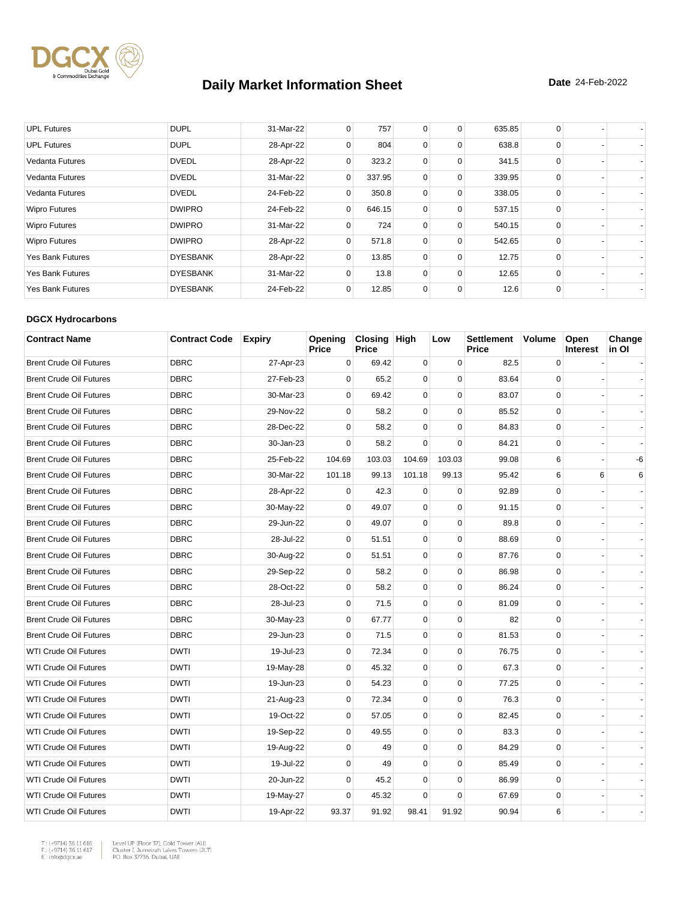

| <b>UPL Futures</b>      | <b>DUPL</b>     | 31-Mar-22 | 0              | 757    | 0 | 0 | 635.85 | 0        |  |
|-------------------------|-----------------|-----------|----------------|--------|---|---|--------|----------|--|
| <b>UPL Futures</b>      | <b>DUPL</b>     | 28-Apr-22 | 0              | 804    | 0 | 0 | 638.8  | $\Omega$ |  |
| <b>Vedanta Futures</b>  | <b>DVEDL</b>    | 28-Apr-22 | 0              | 323.2  | 0 | 0 | 341.5  | $\Omega$ |  |
| <b>Vedanta Futures</b>  | <b>DVEDL</b>    | 31-Mar-22 | 0              | 337.95 | 0 | 0 | 339.95 | 0        |  |
| Vedanta Futures         | <b>DVEDL</b>    | 24-Feb-22 | 0              | 350.8  | 0 | 0 | 338.05 | $\Omega$ |  |
| <b>Wipro Futures</b>    | <b>DWIPRO</b>   | 24-Feb-22 | $\overline{0}$ | 646.15 | 0 | 0 | 537.15 | $\Omega$ |  |
| <b>Wipro Futures</b>    | <b>DWIPRO</b>   | 31-Mar-22 | 0              | 724    | 0 | 0 | 540.15 | $\Omega$ |  |
| <b>Wipro Futures</b>    | <b>DWIPRO</b>   | 28-Apr-22 | 0              | 571.8  | 0 | 0 | 542.65 | $\Omega$ |  |
| Yes Bank Futures        | <b>DYESBANK</b> | 28-Apr-22 | $\Omega$       | 13.85  | 0 | 0 | 12.75  | $\Omega$ |  |
| <b>Yes Bank Futures</b> | <b>DYESBANK</b> | 31-Mar-22 | 0              | 13.8   | 0 | 0 | 12.65  | 0        |  |
| <b>Yes Bank Futures</b> | <b>DYESBANK</b> | 24-Feb-22 | 0              | 12.85  | 0 | 0 | 12.6   | $\Omega$ |  |

#### **DGCX Hydrocarbons**

| <b>Contract Name</b>           | <b>Contract Code</b> | <b>Expiry</b> | Opening<br>Price | Closing High<br><b>Price</b> |             | Low         | <b>Settlement</b><br><b>Price</b> | <b>Volume</b> | Open<br><b>Interest</b> | Change<br>in Ol |
|--------------------------------|----------------------|---------------|------------------|------------------------------|-------------|-------------|-----------------------------------|---------------|-------------------------|-----------------|
| <b>Brent Crude Oil Futures</b> | <b>DBRC</b>          | 27-Apr-23     | 0                | 69.42                        | $\mathbf 0$ | 0           | 82.5                              | $\mathbf 0$   |                         |                 |
| <b>Brent Crude Oil Futures</b> | <b>DBRC</b>          | 27-Feb-23     | $\Omega$         | 65.2                         | 0           | $\Omega$    | 83.64                             | $\Omega$      |                         |                 |
| <b>Brent Crude Oil Futures</b> | <b>DBRC</b>          | 30-Mar-23     | 0                | 69.42                        | 0           | $\mathbf 0$ | 83.07                             | $\mathbf 0$   |                         |                 |
| <b>Brent Crude Oil Futures</b> | <b>DBRC</b>          | 29-Nov-22     | $\mathbf 0$      | 58.2                         | $\mathbf 0$ | $\mathbf 0$ | 85.52                             | $\mathbf 0$   |                         |                 |
| <b>Brent Crude Oil Futures</b> | <b>DBRC</b>          | 28-Dec-22     | 0                | 58.2                         | $\mathbf 0$ | $\mathbf 0$ | 84.83                             | $\mathbf 0$   |                         |                 |
| <b>Brent Crude Oil Futures</b> | <b>DBRC</b>          | 30-Jan-23     | $\Omega$         | 58.2                         | $\Omega$    | $\mathbf 0$ | 84.21                             | $\mathbf 0$   |                         |                 |
| <b>Brent Crude Oil Futures</b> | <b>DBRC</b>          | 25-Feb-22     | 104.69           | 103.03                       | 104.69      | 103.03      | 99.08                             | 6             |                         | -6              |
| <b>Brent Crude Oil Futures</b> | <b>DBRC</b>          | 30-Mar-22     | 101.18           | 99.13                        | 101.18      | 99.13       | 95.42                             | 6             | 6                       | 6               |
| <b>Brent Crude Oil Futures</b> | <b>DBRC</b>          | 28-Apr-22     | $\mathbf 0$      | 42.3                         | $\mathbf 0$ | $\mathbf 0$ | 92.89                             | $\mathbf 0$   |                         |                 |
| <b>Brent Crude Oil Futures</b> | <b>DBRC</b>          | 30-May-22     | 0                | 49.07                        | 0           | $\mathbf 0$ | 91.15                             | $\mathbf 0$   |                         |                 |
| <b>Brent Crude Oil Futures</b> | <b>DBRC</b>          | 29-Jun-22     | $\Omega$         | 49.07                        | $\mathbf 0$ | $\mathbf 0$ | 89.8                              | $\mathbf 0$   |                         |                 |
| <b>Brent Crude Oil Futures</b> | <b>DBRC</b>          | 28-Jul-22     | $\mathbf 0$      | 51.51                        | 0           | $\mathbf 0$ | 88.69                             | $\mathbf 0$   |                         |                 |
| <b>Brent Crude Oil Futures</b> | <b>DBRC</b>          | 30-Aug-22     | 0                | 51.51                        | 0           | $\mathbf 0$ | 87.76                             | $\mathsf 0$   |                         |                 |
| <b>Brent Crude Oil Futures</b> | <b>DBRC</b>          | 29-Sep-22     | $\mathbf 0$      | 58.2                         | $\mathbf 0$ | $\Omega$    | 86.98                             | $\mathbf 0$   |                         |                 |
| <b>Brent Crude Oil Futures</b> | <b>DBRC</b>          | 28-Oct-22     | $\mathbf 0$      | 58.2                         | 0           | $\mathbf 0$ | 86.24                             | $\mathbf 0$   |                         |                 |
| <b>Brent Crude Oil Futures</b> | <b>DBRC</b>          | 28-Jul-23     | $\mathbf 0$      | 71.5                         | 0           | 0           | 81.09                             | 0             |                         |                 |
| <b>Brent Crude Oil Futures</b> | <b>DBRC</b>          | 30-May-23     | $\mathbf 0$      | 67.77                        | 0           | $\mathbf 0$ | 82                                | $\mathbf 0$   |                         |                 |
| <b>Brent Crude Oil Futures</b> | <b>DBRC</b>          | 29-Jun-23     | 0                | 71.5                         | 0           | 0           | 81.53                             | $\mathbf 0$   |                         |                 |
| <b>WTI Crude Oil Futures</b>   | <b>DWTI</b>          | 19-Jul-23     | $\Omega$         | 72.34                        | 0           | $\Omega$    | 76.75                             | $\mathbf 0$   |                         |                 |
| <b>WTI Crude Oil Futures</b>   | <b>DWTI</b>          | 19-May-28     | 0                | 45.32                        | 0           | $\mathbf 0$ | 67.3                              | $\mathbf 0$   |                         |                 |
| <b>WTI Crude Oil Futures</b>   | <b>DWTI</b>          | 19-Jun-23     | $\mathbf 0$      | 54.23                        | $\mathbf 0$ | $\mathbf 0$ | 77.25                             | $\mathbf 0$   |                         |                 |
| <b>WTI Crude Oil Futures</b>   | <b>DWTI</b>          | 21-Aug-23     | $\mathbf 0$      | 72.34                        | 0           | $\mathbf 0$ | 76.3                              | $\mathbf 0$   |                         |                 |
| <b>WTI Crude Oil Futures</b>   | <b>DWTI</b>          | 19-Oct-22     | 0                | 57.05                        | 0           | $\mathbf 0$ | 82.45                             | $\mathbf 0$   |                         |                 |
| <b>WTI Crude Oil Futures</b>   | <b>DWTI</b>          | 19-Sep-22     | $\Omega$         | 49.55                        | 0           | $\mathbf 0$ | 83.3                              | $\mathbf 0$   |                         |                 |
| WTI Crude Oil Futures          | <b>DWTI</b>          | 19-Aug-22     | $\mathbf 0$      | 49                           | $\mathbf 0$ | $\mathbf 0$ | 84.29                             | $\mathbf 0$   |                         |                 |
| <b>WTI Crude Oil Futures</b>   | <b>DWTI</b>          | 19-Jul-22     | $\mathbf 0$      | 49                           | $\mathbf 0$ | $\mathbf 0$ | 85.49                             | $\mathbf 0$   |                         |                 |
| <b>WTI Crude Oil Futures</b>   | <b>DWTI</b>          | 20-Jun-22     | 0                | 45.2                         | $\mathbf 0$ | $\mathbf 0$ | 86.99                             | $\mathbf 0$   |                         |                 |
| <b>WTI Crude Oil Futures</b>   | <b>DWTI</b>          | 19-May-27     | 0                | 45.32                        | 0           | $\mathbf 0$ | 67.69                             | $\mathsf 0$   |                         |                 |
| <b>WTI Crude Oil Futures</b>   | <b>DWTI</b>          | 19-Apr-22     | 93.37            | 91.92                        | 98.41       | 91.92       | 90.94                             | 6             |                         |                 |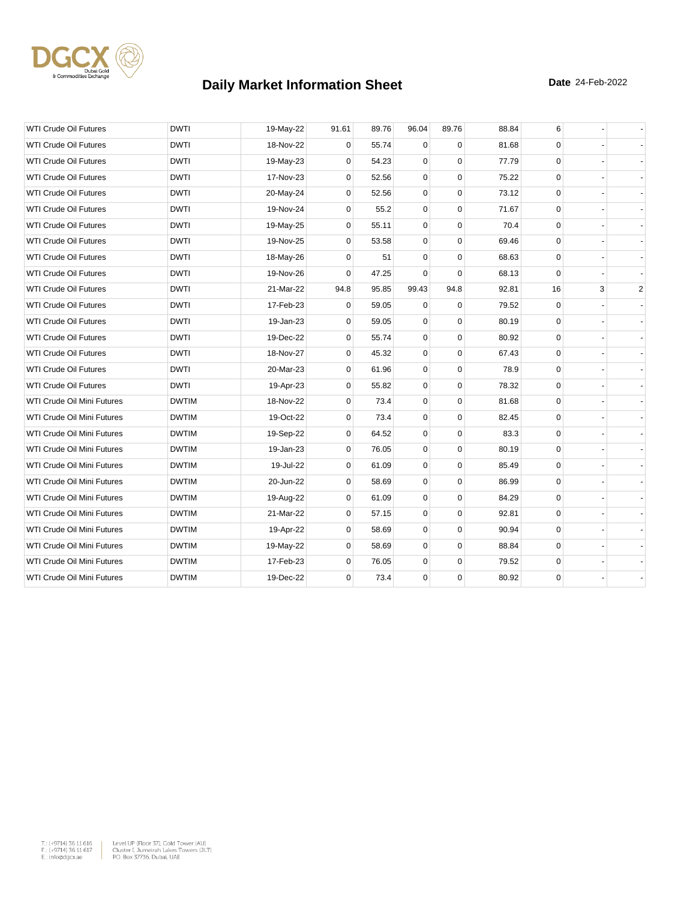

| <b>WTI Crude Oil Futures</b>      | <b>DWTI</b>  | 19-May-22 | 91.61       | 89.76 | 96.04       | 89.76       | 88.84 | 6           |   |                |
|-----------------------------------|--------------|-----------|-------------|-------|-------------|-------------|-------|-------------|---|----------------|
| <b>WTI Crude Oil Futures</b>      | <b>DWTI</b>  | 18-Nov-22 | 0           | 55.74 | $\mathbf 0$ | $\Omega$    | 81.68 | $\mathbf 0$ |   |                |
| <b>WTI Crude Oil Futures</b>      | <b>DWTI</b>  | 19-May-23 | 0           | 54.23 | $\mathbf 0$ | $\Omega$    | 77.79 | $\mathbf 0$ |   |                |
| <b>WTI Crude Oil Futures</b>      | <b>DWTI</b>  | 17-Nov-23 | $\mathbf 0$ | 52.56 | 0           | $\mathbf 0$ | 75.22 | 0           |   |                |
| <b>WTI Crude Oil Futures</b>      | <b>DWTI</b>  | 20-May-24 | 0           | 52.56 | 0           | $\mathbf 0$ | 73.12 | $\mathbf 0$ |   |                |
| WTI Crude Oil Futures             | DWTI         | 19-Nov-24 | 0           | 55.2  | $\mathbf 0$ | $\mathbf 0$ | 71.67 | 0           |   |                |
| <b>WTI Crude Oil Futures</b>      | <b>DWTI</b>  | 19-May-25 | 0           | 55.11 | 0           | $\mathbf 0$ | 70.4  | 0           |   |                |
| <b>WTI Crude Oil Futures</b>      | <b>DWTI</b>  | 19-Nov-25 | 0           | 53.58 | 0           | $\mathbf 0$ | 69.46 | 0           |   |                |
| <b>WTI Crude Oil Futures</b>      | <b>DWTI</b>  | 18-May-26 | 0           | 51    | 0           | $\mathbf 0$ | 68.63 | $\mathbf 0$ |   |                |
| <b>WTI Crude Oil Futures</b>      | <b>DWTI</b>  | 19-Nov-26 | 0           | 47.25 | $\mathbf 0$ | $\Omega$    | 68.13 | $\mathbf 0$ |   |                |
| <b>WTI Crude Oil Futures</b>      | <b>DWTI</b>  | 21-Mar-22 | 94.8        | 95.85 | 99.43       | 94.8        | 92.81 | 16          | 3 | $\overline{2}$ |
| <b>WTI Crude Oil Futures</b>      | <b>DWTI</b>  | 17-Feb-23 | 0           | 59.05 | $\mathbf 0$ | $\Omega$    | 79.52 | $\mathbf 0$ |   |                |
| WTI Crude Oil Futures             | <b>DWTI</b>  | 19-Jan-23 | 0           | 59.05 | $\mathbf 0$ | $\mathbf 0$ | 80.19 | $\mathbf 0$ |   |                |
| <b>WTI Crude Oil Futures</b>      | <b>DWTI</b>  | 19-Dec-22 | $\Omega$    | 55.74 | 0           | $\Omega$    | 80.92 | 0           |   |                |
| <b>WTI Crude Oil Futures</b>      | <b>DWTI</b>  | 18-Nov-27 | 0           | 45.32 | 0           | $\mathbf 0$ | 67.43 | 0           |   |                |
| <b>WTI Crude Oil Futures</b>      | <b>DWTI</b>  | 20-Mar-23 | 0           | 61.96 | $\pmb{0}$   | $\mathbf 0$ | 78.9  | 0           |   |                |
| <b>WTI Crude Oil Futures</b>      | <b>DWTI</b>  | 19-Apr-23 | 0           | 55.82 | $\mathbf 0$ | $\Omega$    | 78.32 | $\mathbf 0$ |   |                |
| WTI Crude Oil Mini Futures        | <b>DWTIM</b> | 18-Nov-22 | 0           | 73.4  | $\mathbf 0$ | $\mathbf 0$ | 81.68 | 0           |   |                |
| WTI Crude Oil Mini Futures        | <b>DWTIM</b> | 19-Oct-22 | 0           | 73.4  | 0           | $\mathbf 0$ | 82.45 | 0           |   |                |
| WTI Crude Oil Mini Futures        | <b>DWTIM</b> | 19-Sep-22 | 0           | 64.52 | $\mathbf 0$ | $\mathbf 0$ | 83.3  | $\mathbf 0$ |   |                |
| <b>WTI Crude Oil Mini Futures</b> | <b>DWTIM</b> | 19-Jan-23 | 0           | 76.05 | 0           | $\Omega$    | 80.19 | 0           |   |                |
| WTI Crude Oil Mini Futures        | <b>DWTIM</b> | 19-Jul-22 | 0           | 61.09 | 0           | $\mathbf 0$ | 85.49 | 0           |   |                |
| WTI Crude Oil Mini Futures        | <b>DWTIM</b> | 20-Jun-22 | $\mathbf 0$ | 58.69 | $\mathbf 0$ | $\mathbf 0$ | 86.99 | 0           |   |                |
| WTI Crude Oil Mini Futures        | <b>DWTIM</b> | 19-Aug-22 | 0           | 61.09 | $\mathbf 0$ | $\Omega$    | 84.29 | $\mathbf 0$ |   |                |
| WTI Crude Oil Mini Futures        | <b>DWTIM</b> | 21-Mar-22 | 0           | 57.15 | 0           | $\mathbf 0$ | 92.81 | 0           |   |                |
| WTI Crude Oil Mini Futures        | <b>DWTIM</b> | 19-Apr-22 | 0           | 58.69 | 0           | $\mathbf 0$ | 90.94 | 0           |   |                |
| WTI Crude Oil Mini Futures        | <b>DWTIM</b> | 19-May-22 | 0           | 58.69 | 0           | $\mathbf 0$ | 88.84 | $\mathbf 0$ |   |                |
| WTI Crude Oil Mini Futures        | <b>DWTIM</b> | 17-Feb-23 | $\mathbf 0$ | 76.05 | 0           | $\mathbf 0$ | 79.52 | $\mathbf 0$ |   |                |
| WTI Crude Oil Mini Futures        | <b>DWTIM</b> | 19-Dec-22 | 0           | 73.4  | 0           | $\mathbf 0$ | 80.92 | $\mathbf 0$ |   |                |

 $\begin{tabular}{|l|l|l|} \hline $\mathsf{T}_\circ$ & $\mathsf{+9714}3$ & $\mathsf{5616}} \\\hline $\mathsf{F}_\circ$ & $\mathsf{+9714}3$ & $\mathsf{5616}} \\\hline $\mathsf{F}_\circ$ & $\mathsf{+9714}3$ & $\mathsf{5616}} \\\hline $\mathsf{E}_\circ$ & $\mathsf{01618}} \\\hline $\mathsf{E}_\circ$ & $\mathsf{01618}} \\\hline $\mathsf{F}_\circ$ & $\mathsf{01618}} \\\hline $\mathsf{F}_\circ$ & $\mathsf{01618}} \\\hline$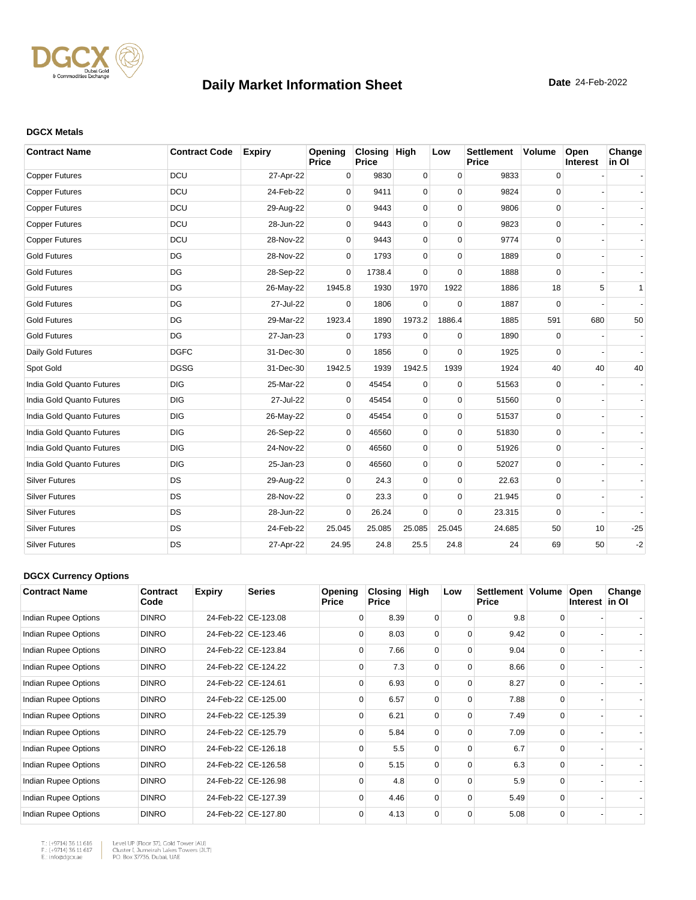

#### **DGCX Metals**

| <b>Contract Name</b>      | <b>Contract Code</b> | <b>Expiry</b> | Opening<br>Price | Closing High<br><b>Price</b> |             | Low         | <b>Settlement</b><br><b>Price</b> | <b>Volume</b> | Open<br>Interest | Change<br>in OI |
|---------------------------|----------------------|---------------|------------------|------------------------------|-------------|-------------|-----------------------------------|---------------|------------------|-----------------|
| <b>Copper Futures</b>     | <b>DCU</b>           | 27-Apr-22     | 0                | 9830                         | $\mathbf 0$ | $\mathbf 0$ | 9833                              | 0             |                  |                 |
| <b>Copper Futures</b>     | <b>DCU</b>           | 24-Feb-22     | $\Omega$         | 9411                         | 0           | $\Omega$    | 9824                              | $\mathbf 0$   |                  |                 |
| <b>Copper Futures</b>     | <b>DCU</b>           | 29-Aug-22     | $\Omega$         | 9443                         | 0           | $\Omega$    | 9806                              | 0             |                  |                 |
| <b>Copper Futures</b>     | <b>DCU</b>           | 28-Jun-22     | $\Omega$         | 9443                         | 0           | $\Omega$    | 9823                              | $\mathbf 0$   |                  |                 |
| <b>Copper Futures</b>     | <b>DCU</b>           | 28-Nov-22     | 0                | 9443                         | 0           | $\Omega$    | 9774                              | 0             |                  |                 |
| <b>Gold Futures</b>       | DG                   | 28-Nov-22     | $\Omega$         | 1793                         | 0           | $\Omega$    | 1889                              | 0             |                  |                 |
| <b>Gold Futures</b>       | DG                   | 28-Sep-22     | $\Omega$         | 1738.4                       | $\Omega$    | $\Omega$    | 1888                              | $\Omega$      |                  |                 |
| <b>Gold Futures</b>       | DG                   | 26-May-22     | 1945.8           | 1930                         | 1970        | 1922        | 1886                              | 18            | 5                | 1               |
| <b>Gold Futures</b>       | DG                   | 27-Jul-22     | $\Omega$         | 1806                         | $\Omega$    | $\Omega$    | 1887                              | $\Omega$      |                  |                 |
| <b>Gold Futures</b>       | DG                   | 29-Mar-22     | 1923.4           | 1890                         | 1973.2      | 1886.4      | 1885                              | 591           | 680              | 50              |
| <b>Gold Futures</b>       | DG                   | 27-Jan-23     | $\Omega$         | 1793                         | $\mathbf 0$ | $\mathbf 0$ | 1890                              | 0             |                  |                 |
| Daily Gold Futures        | <b>DGFC</b>          | 31-Dec-30     | $\Omega$         | 1856                         | $\Omega$    | $\Omega$    | 1925                              | 0             |                  |                 |
| Spot Gold                 | <b>DGSG</b>          | 31-Dec-30     | 1942.5           | 1939                         | 1942.5      | 1939        | 1924                              | 40            | 40               | 40              |
| India Gold Quanto Futures | <b>DIG</b>           | 25-Mar-22     | 0                | 45454                        | 0           | $\mathbf 0$ | 51563                             | 0             |                  |                 |
| India Gold Quanto Futures | <b>DIG</b>           | 27-Jul-22     | $\Omega$         | 45454                        | 0           | $\Omega$    | 51560                             | $\mathbf 0$   |                  |                 |
| India Gold Quanto Futures | <b>DIG</b>           | 26-May-22     | $\mathbf 0$      | 45454                        | 0           | $\mathbf 0$ | 51537                             | $\mathbf 0$   |                  |                 |
| India Gold Quanto Futures | <b>DIG</b>           | 26-Sep-22     | $\Omega$         | 46560                        | 0           | $\Omega$    | 51830                             | $\mathbf 0$   |                  |                 |
| India Gold Quanto Futures | <b>DIG</b>           | 24-Nov-22     | $\Omega$         | 46560                        | 0           | $\Omega$    | 51926                             | 0             |                  |                 |
| India Gold Quanto Futures | <b>DIG</b>           | 25-Jan-23     | 0                | 46560                        | 0           | $\Omega$    | 52027                             | $\mathbf 0$   |                  |                 |
| <b>Silver Futures</b>     | DS                   | 29-Aug-22     | 0                | 24.3                         | 0           | $\mathbf 0$ | 22.63                             | 0             |                  |                 |
| <b>Silver Futures</b>     | DS                   | 28-Nov-22     | 0                | 23.3                         | 0           | $\mathbf 0$ | 21.945                            | 0             |                  |                 |
| <b>Silver Futures</b>     | DS                   | 28-Jun-22     | $\Omega$         | 26.24                        | 0           | $\Omega$    | 23.315                            | 0             |                  |                 |
| <b>Silver Futures</b>     | <b>DS</b>            | 24-Feb-22     | 25.045           | 25.085                       | 25.085      | 25.045      | 24.685                            | 50            | 10               | $-25$           |
| <b>Silver Futures</b>     | <b>DS</b>            | 27-Apr-22     | 24.95            | 24.8                         | 25.5        | 24.8        | 24                                | 69            | 50               | $-2$            |

#### **DGCX Currency Options**

| <b>Contract Name</b> | Contract<br>Code | <b>Expiry</b> | <b>Series</b>       | Opening<br><b>Price</b> | <b>Closing</b><br><b>Price</b> | High     | Low      | Settlement   Volume<br><b>Price</b> |          | Open<br>Interest in OI | Change |
|----------------------|------------------|---------------|---------------------|-------------------------|--------------------------------|----------|----------|-------------------------------------|----------|------------------------|--------|
| Indian Rupee Options | <b>DINRO</b>     |               | 24-Feb-22 CE-123.08 | $\Omega$                | 8.39                           | 0        | $\Omega$ | 9.8                                 | 0        |                        |        |
| Indian Rupee Options | <b>DINRO</b>     |               | 24-Feb-22 CE-123.46 | $\Omega$                | 8.03                           | 0        | $\Omega$ | 9.42                                | $\Omega$ |                        |        |
| Indian Rupee Options | <b>DINRO</b>     |               | 24-Feb-22 CE-123.84 | $\Omega$                | 7.66                           | $\Omega$ | $\Omega$ | 9.04                                | $\Omega$ |                        |        |
| Indian Rupee Options | <b>DINRO</b>     |               | 24-Feb-22 CE-124.22 | $\Omega$                | 7.3                            | $\Omega$ | $\Omega$ | 8.66                                | $\Omega$ |                        |        |
| Indian Rupee Options | <b>DINRO</b>     |               | 24-Feb-22 CE-124.61 | $\Omega$                | 6.93                           | $\Omega$ | 0        | 8.27                                | $\Omega$ |                        |        |
| Indian Rupee Options | <b>DINRO</b>     |               | 24-Feb-22 CE-125.00 | $\Omega$                | 6.57                           | $\Omega$ | $\Omega$ | 7.88                                | $\Omega$ |                        |        |
| Indian Rupee Options | <b>DINRO</b>     |               | 24-Feb-22 CE-125.39 | $\Omega$                | 6.21                           | $\Omega$ | $\Omega$ | 7.49                                | $\Omega$ |                        |        |
| Indian Rupee Options | <b>DINRO</b>     |               | 24-Feb-22 CE-125.79 | $\Omega$                | 5.84                           | $\Omega$ | $\Omega$ | 7.09                                | $\Omega$ |                        |        |
| Indian Rupee Options | <b>DINRO</b>     |               | 24-Feb-22 CE-126.18 | $\Omega$                | 5.5                            | $\Omega$ | $\Omega$ | 6.7                                 | $\Omega$ |                        |        |
| Indian Rupee Options | <b>DINRO</b>     |               | 24-Feb-22 CE-126.58 | $\Omega$                | 5.15                           | $\Omega$ | $\Omega$ | 6.3                                 | $\Omega$ |                        |        |
| Indian Rupee Options | <b>DINRO</b>     |               | 24-Feb-22 CE-126.98 | $\Omega$                | 4.8                            | 0        | $\Omega$ | 5.9                                 | $\Omega$ |                        |        |
| Indian Rupee Options | <b>DINRO</b>     |               | 24-Feb-22 CE-127.39 | $\Omega$                | 4.46                           | $\Omega$ | $\Omega$ | 5.49                                | $\Omega$ |                        |        |
| Indian Rupee Options | <b>DINRO</b>     |               | 24-Feb-22 CE-127.80 | $\Omega$                | 4.13                           | 0        | $\Omega$ | 5.08                                | 0        |                        |        |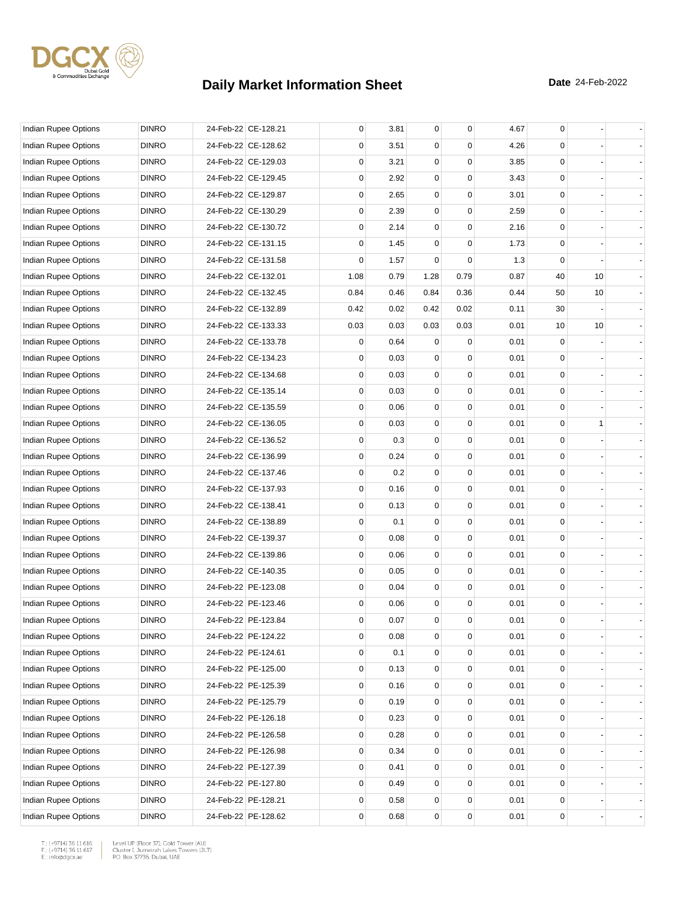

| Indian Rupee Options        | <b>DINRO</b> | 24-Feb-22 CE-128.21 | 0    | 3.81 | $\overline{0}$ | 0           | 4.67 | 0           |    |  |
|-----------------------------|--------------|---------------------|------|------|----------------|-------------|------|-------------|----|--|
| Indian Rupee Options        | <b>DINRO</b> | 24-Feb-22 CE-128.62 | 0    | 3.51 | 0              | $\Omega$    | 4.26 | 0           |    |  |
| Indian Rupee Options        | <b>DINRO</b> | 24-Feb-22 CE-129.03 | 0    | 3.21 | 0              | 0           | 3.85 | $\mathbf 0$ |    |  |
| Indian Rupee Options        | <b>DINRO</b> | 24-Feb-22 CE-129.45 | 0    | 2.92 | 0              | 0           | 3.43 | $\mathbf 0$ |    |  |
| Indian Rupee Options        | <b>DINRO</b> | 24-Feb-22 CE-129.87 | 0    | 2.65 | 0              | 0           | 3.01 | $\mathbf 0$ |    |  |
| Indian Rupee Options        | <b>DINRO</b> | 24-Feb-22 CE-130.29 | 0    | 2.39 | 0              | 0           | 2.59 | $\mathbf 0$ |    |  |
| Indian Rupee Options        | <b>DINRO</b> | 24-Feb-22 CE-130.72 | 0    | 2.14 | 0              | 0           | 2.16 | 0           |    |  |
| <b>Indian Rupee Options</b> | <b>DINRO</b> | 24-Feb-22 CE-131.15 | 0    | 1.45 | 0              | 0           | 1.73 | $\mathbf 0$ |    |  |
| Indian Rupee Options        | <b>DINRO</b> | 24-Feb-22 CE-131.58 | 0    | 1.57 | 0              | 0           | 1.3  | $\mathbf 0$ |    |  |
| Indian Rupee Options        | <b>DINRO</b> | 24-Feb-22 CE-132.01 | 1.08 | 0.79 | 1.28           | 0.79        | 0.87 | 40          | 10 |  |
| Indian Rupee Options        | <b>DINRO</b> | 24-Feb-22 CE-132.45 | 0.84 | 0.46 | 0.84           | 0.36        | 0.44 | 50          | 10 |  |
| Indian Rupee Options        | <b>DINRO</b> | 24-Feb-22 CE-132.89 | 0.42 | 0.02 | 0.42           | 0.02        | 0.11 | 30          |    |  |
| Indian Rupee Options        | <b>DINRO</b> | 24-Feb-22 CE-133.33 | 0.03 | 0.03 | 0.03           | 0.03        | 0.01 | 10          | 10 |  |
| Indian Rupee Options        | <b>DINRO</b> | 24-Feb-22 CE-133.78 | 0    | 0.64 | 0              | 0           | 0.01 | $\mathbf 0$ |    |  |
| Indian Rupee Options        | <b>DINRO</b> | 24-Feb-22 CE-134.23 | 0    | 0.03 | 0              | 0           | 0.01 | $\mathbf 0$ |    |  |
| Indian Rupee Options        | <b>DINRO</b> | 24-Feb-22 CE-134.68 | 0    | 0.03 | 0              | $\mathbf 0$ | 0.01 | $\mathbf 0$ |    |  |
| <b>Indian Rupee Options</b> | <b>DINRO</b> | 24-Feb-22 CE-135.14 | 0    | 0.03 | 0              | 0           | 0.01 | 0           |    |  |
| Indian Rupee Options        | <b>DINRO</b> | 24-Feb-22 CE-135.59 | 0    | 0.06 | 0              | 0           | 0.01 | $\mathbf 0$ |    |  |
| <b>Indian Rupee Options</b> | <b>DINRO</b> | 24-Feb-22 CE-136.05 | 0    | 0.03 | 0              | 0           | 0.01 | $\mathbf 0$ | 1  |  |
| Indian Rupee Options        | <b>DINRO</b> | 24-Feb-22 CE-136.52 | 0    | 0.3  | 0              | 0           | 0.01 | $\mathbf 0$ |    |  |
| Indian Rupee Options        | <b>DINRO</b> | 24-Feb-22 CE-136.99 | 0    | 0.24 | 0              | 0           | 0.01 | $\mathbf 0$ |    |  |
| Indian Rupee Options        | <b>DINRO</b> | 24-Feb-22 CE-137.46 | 0    | 0.2  | 0              | 0           | 0.01 | 0           |    |  |
| Indian Rupee Options        | <b>DINRO</b> | 24-Feb-22 CE-137.93 | 0    | 0.16 | 0              | 0           | 0.01 | $\mathbf 0$ |    |  |
| Indian Rupee Options        | <b>DINRO</b> | 24-Feb-22 CE-138.41 | 0    | 0.13 | 0              | 0           | 0.01 | $\mathbf 0$ |    |  |
| Indian Rupee Options        | <b>DINRO</b> | 24-Feb-22 CE-138.89 | 0    | 0.1  | 0              | 0           | 0.01 | $\mathbf 0$ |    |  |
| Indian Rupee Options        | <b>DINRO</b> | 24-Feb-22 CE-139.37 | 0    | 0.08 | 0              | 0           | 0.01 | $\mathbf 0$ |    |  |
| Indian Rupee Options        | <b>DINRO</b> | 24-Feb-22 CE-139.86 | 0    | 0.06 | 0              | 0           | 0.01 | 0           |    |  |
| <b>Indian Rupee Options</b> | <b>DINRO</b> | 24-Feb-22 CE-140.35 | 0    | 0.05 | 0              | 0           | 0.01 | $\mathbf 0$ |    |  |
| Indian Rupee Options        | <b>DINRO</b> | 24-Feb-22 PE-123.08 | 0    | 0.04 | 0              | 0           | 0.01 | $\mathbf 0$ |    |  |
| Indian Rupee Options        | <b>DINRO</b> | 24-Feb-22 PE-123.46 | 0    | 0.06 | 0              | 0           | 0.01 | 0           |    |  |
| Indian Rupee Options        | <b>DINRO</b> | 24-Feb-22 PE-123.84 | 0    | 0.07 | $\overline{0}$ | 0           | 0.01 | $\mathbf 0$ |    |  |
| Indian Rupee Options        | <b>DINRO</b> | 24-Feb-22 PE-124.22 | 0    | 0.08 | 0              | 0           | 0.01 | 0           |    |  |
| Indian Rupee Options        | <b>DINRO</b> | 24-Feb-22 PE-124.61 | 0    | 0.1  | $\overline{0}$ | 0           | 0.01 | $\mathbf 0$ |    |  |
| Indian Rupee Options        | <b>DINRO</b> | 24-Feb-22 PE-125.00 | 0    | 0.13 | 0              | 0           | 0.01 | 0           |    |  |
| Indian Rupee Options        | <b>DINRO</b> | 24-Feb-22 PE-125.39 | 0    | 0.16 | 0              | 0           | 0.01 | $\mathbf 0$ |    |  |
| Indian Rupee Options        | <b>DINRO</b> | 24-Feb-22 PE-125.79 | 0    | 0.19 | 0              | 0           | 0.01 | 0           |    |  |
| Indian Rupee Options        | <b>DINRO</b> | 24-Feb-22 PE-126.18 | 0    | 0.23 | 0              | 0           | 0.01 | 0           |    |  |
| Indian Rupee Options        | <b>DINRO</b> | 24-Feb-22 PE-126.58 | 0    | 0.28 | 0              | 0           | 0.01 | 0           |    |  |
| Indian Rupee Options        | <b>DINRO</b> | 24-Feb-22 PE-126.98 | 0    | 0.34 | 0              | 0           | 0.01 | 0           |    |  |
| Indian Rupee Options        | <b>DINRO</b> | 24-Feb-22 PE-127.39 | 0    | 0.41 | 0              | 0           | 0.01 | $\mathbf 0$ |    |  |
| Indian Rupee Options        | <b>DINRO</b> | 24-Feb-22 PE-127.80 | 0    | 0.49 | 0              | 0           | 0.01 | $\mathbf 0$ |    |  |
| Indian Rupee Options        | <b>DINRO</b> | 24-Feb-22 PE-128.21 | 0    | 0.58 | 0              | 0           | 0.01 | 0           |    |  |
| Indian Rupee Options        | <b>DINRO</b> | 24-Feb-22 PE-128.62 | 0    | 0.68 | 0              | 0           | 0.01 | 0           |    |  |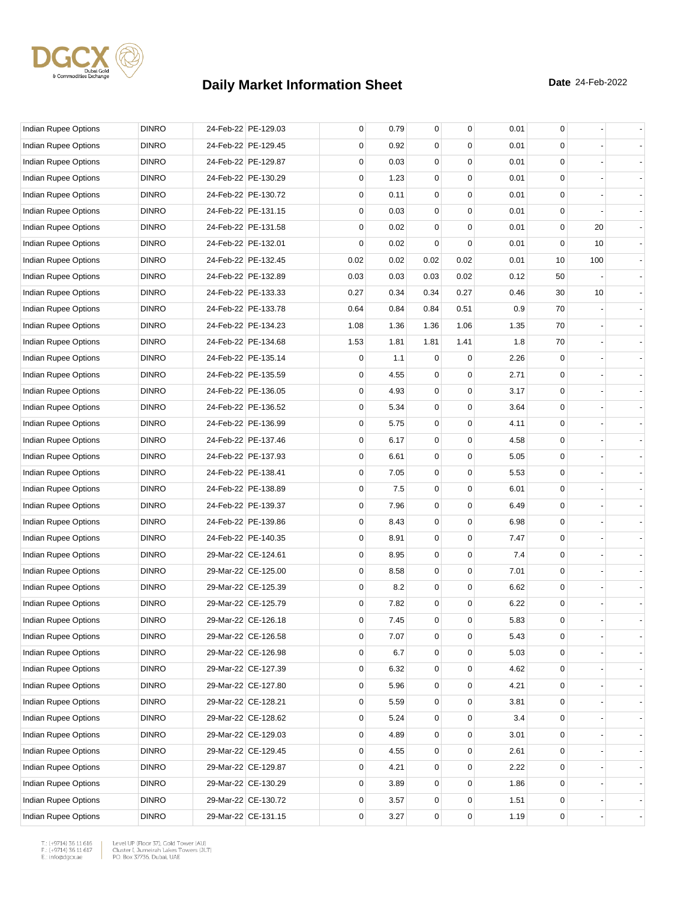

| Indian Rupee Options        | <b>DINRO</b> | 24-Feb-22 PE-129.03 | 0    | 0.79 | $\mathbf{0}$   | 0           | 0.01 | 0           |     |  |
|-----------------------------|--------------|---------------------|------|------|----------------|-------------|------|-------------|-----|--|
| Indian Rupee Options        | <b>DINRO</b> | 24-Feb-22 PE-129.45 | 0    | 0.92 | $\Omega$       | 0           | 0.01 | $\Omega$    |     |  |
| Indian Rupee Options        | <b>DINRO</b> | 24-Feb-22 PE-129.87 | 0    | 0.03 | 0              | 0           | 0.01 | $\mathbf 0$ |     |  |
| Indian Rupee Options        | <b>DINRO</b> | 24-Feb-22 PE-130.29 | 0    | 1.23 | 0              | 0           | 0.01 | $\mathbf 0$ |     |  |
| <b>Indian Rupee Options</b> | <b>DINRO</b> | 24-Feb-22 PE-130.72 | 0    | 0.11 | 0              | 0           | 0.01 | $\mathbf 0$ |     |  |
| Indian Rupee Options        | <b>DINRO</b> | 24-Feb-22 PE-131.15 | 0    | 0.03 | 0              | 0           | 0.01 | 0           |     |  |
| Indian Rupee Options        | <b>DINRO</b> | 24-Feb-22 PE-131.58 | 0    | 0.02 | $\Omega$       | $\Omega$    | 0.01 | 0           | 20  |  |
| Indian Rupee Options        | <b>DINRO</b> | 24-Feb-22 PE-132.01 | 0    | 0.02 | $\Omega$       | 0           | 0.01 | $\mathbf 0$ | 10  |  |
| <b>Indian Rupee Options</b> | <b>DINRO</b> | 24-Feb-22 PE-132.45 | 0.02 | 0.02 | 0.02           | 0.02        | 0.01 | 10          | 100 |  |
| Indian Rupee Options        | <b>DINRO</b> | 24-Feb-22 PE-132.89 | 0.03 | 0.03 | 0.03           | 0.02        | 0.12 | 50          |     |  |
| Indian Rupee Options        | <b>DINRO</b> | 24-Feb-22 PE-133.33 | 0.27 | 0.34 | 0.34           | 0.27        | 0.46 | 30          | 10  |  |
| Indian Rupee Options        | <b>DINRO</b> | 24-Feb-22 PE-133.78 | 0.64 | 0.84 | 0.84           | 0.51        | 0.9  | 70          |     |  |
| Indian Rupee Options        | <b>DINRO</b> | 24-Feb-22 PE-134.23 | 1.08 | 1.36 | 1.36           | 1.06        | 1.35 | 70          |     |  |
| Indian Rupee Options        | <b>DINRO</b> | 24-Feb-22 PE-134.68 | 1.53 | 1.81 | 1.81           | 1.41        | 1.8  | 70          |     |  |
| Indian Rupee Options        | <b>DINRO</b> | 24-Feb-22 PE-135.14 | 0    | 1.1  | 0              | $\mathbf 0$ | 2.26 | $\mathbf 0$ |     |  |
| Indian Rupee Options        | <b>DINRO</b> | 24-Feb-22 PE-135.59 | 0    | 4.55 | 0              | 0           | 2.71 | 0           |     |  |
| <b>Indian Rupee Options</b> | <b>DINRO</b> | 24-Feb-22 PE-136.05 | 0    | 4.93 | $\Omega$       | $\Omega$    | 3.17 | $\mathbf 0$ |     |  |
| <b>Indian Rupee Options</b> | <b>DINRO</b> | 24-Feb-22 PE-136.52 | 0    | 5.34 | 0              | 0           | 3.64 | $\mathbf 0$ |     |  |
| <b>Indian Rupee Options</b> | <b>DINRO</b> | 24-Feb-22 PE-136.99 | 0    | 5.75 | 0              | 0           | 4.11 | $\mathbf 0$ |     |  |
| Indian Rupee Options        | <b>DINRO</b> | 24-Feb-22 PE-137.46 | 0    | 6.17 | 0              | 0           | 4.58 | $\mathbf 0$ |     |  |
| Indian Rupee Options        | <b>DINRO</b> | 24-Feb-22 PE-137.93 | 0    | 6.61 | 0              | 0           | 5.05 | $\mathbf 0$ |     |  |
| Indian Rupee Options        | <b>DINRO</b> | 24-Feb-22 PE-138.41 | 0    | 7.05 | 0              | 0           | 5.53 | 0           |     |  |
| Indian Rupee Options        | <b>DINRO</b> | 24-Feb-22 PE-138.89 | 0    | 7.5  | 0              | 0           | 6.01 | $\mathbf 0$ |     |  |
| Indian Rupee Options        | <b>DINRO</b> | 24-Feb-22 PE-139.37 | 0    | 7.96 | 0              | 0           | 6.49 | $\mathbf 0$ |     |  |
| Indian Rupee Options        | <b>DINRO</b> | 24-Feb-22 PE-139.86 | 0    | 8.43 | 0              | 0           | 6.98 | $\mathbf 0$ |     |  |
| Indian Rupee Options        | <b>DINRO</b> | 24-Feb-22 PE-140.35 | 0    | 8.91 | 0              | 0           | 7.47 | $\mathbf 0$ |     |  |
| Indian Rupee Options        | <b>DINRO</b> | 29-Mar-22 CE-124.61 | 0    | 8.95 | 0              | 0           | 7.4  | $\mathbf 0$ |     |  |
| Indian Rupee Options        | <b>DINRO</b> | 29-Mar-22 CE-125.00 | 0    | 8.58 | 0              | 0           | 7.01 | $\mathbf 0$ |     |  |
| Indian Rupee Options        | <b>DINRO</b> | 29-Mar-22 CE-125.39 | 0    | 8.2  | 0              | 0           | 6.62 | $\mathbf 0$ |     |  |
| <b>Indian Rupee Options</b> | <b>DINRO</b> | 29-Mar-22 CE-125.79 | 0    | 7.82 | 0              | 0           | 6.22 | $\mathbf 0$ |     |  |
| <b>Indian Rupee Options</b> | <b>DINRO</b> | 29-Mar-22 CE-126.18 | 0    | 7.45 | $\overline{0}$ | 0           | 5.83 | $\mathbf 0$ |     |  |
| Indian Rupee Options        | <b>DINRO</b> | 29-Mar-22 CE-126.58 | 0    | 7.07 | 0              | 0           | 5.43 | $\pmb{0}$   |     |  |
| Indian Rupee Options        | <b>DINRO</b> | 29-Mar-22 CE-126.98 | 0    | 6.7  | 0              | 0           | 5.03 | $\mathsf 0$ |     |  |
| Indian Rupee Options        | <b>DINRO</b> | 29-Mar-22 CE-127.39 | 0    | 6.32 | 0              | 0           | 4.62 | $\mathbf 0$ |     |  |
| Indian Rupee Options        | <b>DINRO</b> | 29-Mar-22 CE-127.80 | 0    | 5.96 | 0              | 0           | 4.21 | $\mathbf 0$ |     |  |
| Indian Rupee Options        | <b>DINRO</b> | 29-Mar-22 CE-128.21 | 0    | 5.59 | 0              | 0           | 3.81 | 0           |     |  |
| Indian Rupee Options        | <b>DINRO</b> | 29-Mar-22 CE-128.62 | 0    | 5.24 | 0              | 0           | 3.4  | 0           |     |  |
| Indian Rupee Options        | <b>DINRO</b> | 29-Mar-22 CE-129.03 | 0    | 4.89 | 0              | 0           | 3.01 | 0           |     |  |
| Indian Rupee Options        | <b>DINRO</b> | 29-Mar-22 CE-129.45 | 0    | 4.55 | 0              | 0           | 2.61 | $\mathbf 0$ |     |  |
| Indian Rupee Options        | <b>DINRO</b> | 29-Mar-22 CE-129.87 | 0    | 4.21 | 0              | 0           | 2.22 | $\mathbf 0$ |     |  |
| Indian Rupee Options        | <b>DINRO</b> | 29-Mar-22 CE-130.29 | 0    | 3.89 | 0              | 0           | 1.86 | 0           |     |  |
| Indian Rupee Options        | <b>DINRO</b> | 29-Mar-22 CE-130.72 | 0    | 3.57 | 0              | 0           | 1.51 | 0           |     |  |
| Indian Rupee Options        | <b>DINRO</b> | 29-Mar-22 CE-131.15 | 0    | 3.27 | 0              | 0           | 1.19 | $\mathsf 0$ |     |  |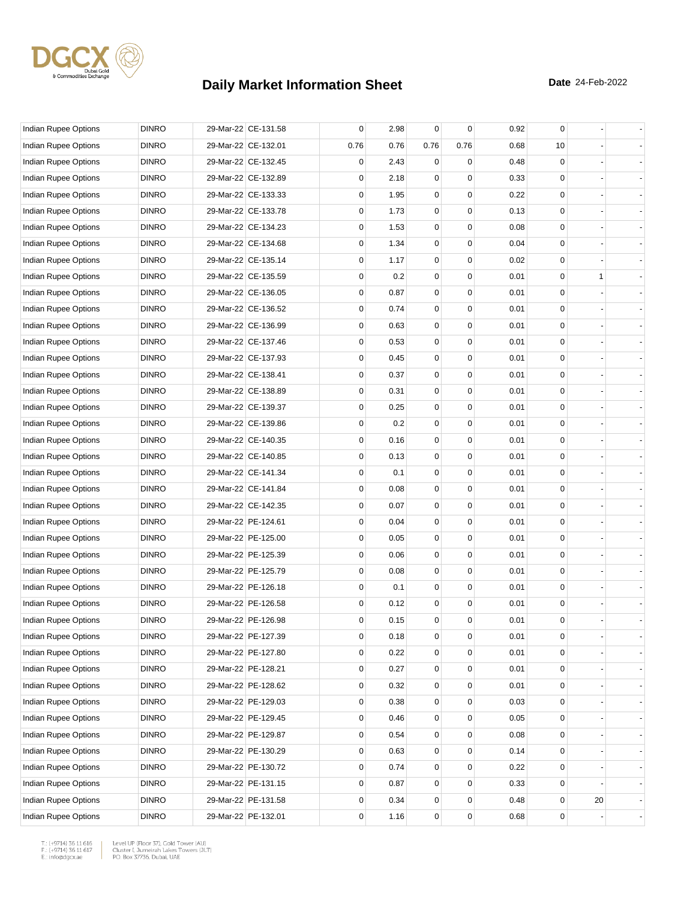

| Indian Rupee Options        | <b>DINRO</b> | 29-Mar-22 CE-131.58 | 0        | 2.98 | $\mathbf 0$ | 0    | 0.92 | 0              |    |                          |
|-----------------------------|--------------|---------------------|----------|------|-------------|------|------|----------------|----|--------------------------|
| Indian Rupee Options        | <b>DINRO</b> | 29-Mar-22 CE-132.01 | 0.76     | 0.76 | 0.76        | 0.76 | 0.68 | 10             |    |                          |
| <b>Indian Rupee Options</b> | <b>DINRO</b> | 29-Mar-22 CE-132.45 | 0        | 2.43 | 0           | 0    | 0.48 | 0              |    |                          |
| Indian Rupee Options        | <b>DINRO</b> | 29-Mar-22 CE-132.89 | 0        | 2.18 | 0           | 0    | 0.33 | 0              |    |                          |
| Indian Rupee Options        | <b>DINRO</b> | 29-Mar-22 CE-133.33 | 0        | 1.95 | 0           | 0    | 0.22 | 0              |    |                          |
| Indian Rupee Options        | <b>DINRO</b> | 29-Mar-22 CE-133.78 | 0        | 1.73 | 0           | 0    | 0.13 | 0              |    |                          |
| Indian Rupee Options        | <b>DINRO</b> | 29-Mar-22 CE-134.23 | 0        | 1.53 | $\mathbf 0$ | 0    | 0.08 | 0              |    |                          |
| <b>Indian Rupee Options</b> | <b>DINRO</b> | 29-Mar-22 CE-134.68 | 0        | 1.34 | 0           | 0    | 0.04 | 0              |    |                          |
| Indian Rupee Options        | <b>DINRO</b> | 29-Mar-22 CE-135.14 | 0        | 1.17 | $\mathbf 0$ | 0    | 0.02 | 0              |    |                          |
| Indian Rupee Options        | <b>DINRO</b> | 29-Mar-22 CE-135.59 | 0        | 0.2  | 0           | 0    | 0.01 | 0              | 1  |                          |
| Indian Rupee Options        | <b>DINRO</b> | 29-Mar-22 CE-136.05 | 0        | 0.87 | 0           | 0    | 0.01 | 0              |    |                          |
| Indian Rupee Options        | <b>DINRO</b> | 29-Mar-22 CE-136.52 | 0        | 0.74 | $\mathbf 0$ | 0    | 0.01 | 0              |    |                          |
| Indian Rupee Options        | <b>DINRO</b> | 29-Mar-22 CE-136.99 | 0        | 0.63 | 0           | 0    | 0.01 | 0              |    |                          |
| Indian Rupee Options        | <b>DINRO</b> | 29-Mar-22 CE-137.46 | 0        | 0.53 | $\mathbf 0$ | 0    | 0.01 | 0              |    |                          |
| Indian Rupee Options        | <b>DINRO</b> | 29-Mar-22 CE-137.93 | 0        | 0.45 | 0           | 0    | 0.01 | 0              |    |                          |
| Indian Rupee Options        | <b>DINRO</b> | 29-Mar-22 CE-138.41 | 0        | 0.37 | 0           | 0    | 0.01 | 0              |    |                          |
| Indian Rupee Options        | <b>DINRO</b> | 29-Mar-22 CE-138.89 | 0        | 0.31 | $\mathbf 0$ | 0    | 0.01 | 0              |    |                          |
| Indian Rupee Options        | <b>DINRO</b> | 29-Mar-22 CE-139.37 | 0        | 0.25 | 0           | 0    | 0.01 | 0              |    |                          |
| Indian Rupee Options        | <b>DINRO</b> | 29-Mar-22 CE-139.86 | 0        | 0.2  | $\mathbf 0$ | 0    | 0.01 | 0              |    |                          |
| Indian Rupee Options        | <b>DINRO</b> | 29-Mar-22 CE-140.35 | 0        | 0.16 | 0           | 0    | 0.01 | 0              |    |                          |
| Indian Rupee Options        | <b>DINRO</b> | 29-Mar-22 CE-140.85 | 0        | 0.13 | 0           | 0    | 0.01 | 0              |    |                          |
| Indian Rupee Options        | <b>DINRO</b> | 29-Mar-22 CE-141.34 | 0        | 0.1  | 0           | 0    | 0.01 | 0              |    |                          |
| Indian Rupee Options        | <b>DINRO</b> | 29-Mar-22 CE-141.84 | 0        | 0.08 | 0           | 0    | 0.01 | 0              |    |                          |
| Indian Rupee Options        | <b>DINRO</b> | 29-Mar-22 CE-142.35 | 0        | 0.07 | $\mathbf 0$ | 0    | 0.01 | 0              |    |                          |
| Indian Rupee Options        | <b>DINRO</b> | 29-Mar-22 PE-124.61 | 0        | 0.04 | 0           | 0    | 0.01 | 0              |    |                          |
| Indian Rupee Options        | <b>DINRO</b> | 29-Mar-22 PE-125.00 | 0        | 0.05 | 0           | 0    | 0.01 | 0              |    |                          |
| Indian Rupee Options        | <b>DINRO</b> | 29-Mar-22 PE-125.39 | 0        | 0.06 | $\mathbf 0$ | 0    | 0.01 | 0              |    |                          |
| Indian Rupee Options        | <b>DINRO</b> | 29-Mar-22 PE-125.79 | 0        | 0.08 | 0           | 0    | 0.01 | 0              |    |                          |
| Indian Rupee Options        | <b>DINRO</b> | 29-Mar-22 PE-126.18 | 0        | 0.1  | $\mathbf 0$ | 0    | 0.01 | 0              |    |                          |
| Indian Rupee Options        | <b>DINRO</b> | 29-Mar-22 PE-126.58 | 0        | 0.12 | 0           | 0    | 0.01 | 0              |    |                          |
| Indian Rupee Options        | <b>DINRO</b> | 29-Mar-22 PE-126.98 | $\Omega$ | 0.15 | $\mathbf 0$ | 0    | 0.01 | 0              |    |                          |
| <b>Indian Rupee Options</b> | <b>DINRO</b> | 29-Mar-22 PE-127.39 | 0        | 0.18 | 0           | 0    | 0.01 | 0              |    |                          |
| Indian Rupee Options        | <b>DINRO</b> | 29-Mar-22 PE-127.80 | 0        | 0.22 | 0           | 0    | 0.01 | 0              |    |                          |
| <b>Indian Rupee Options</b> | <b>DINRO</b> | 29-Mar-22 PE-128.21 | 0        | 0.27 | 0           | 0    | 0.01 | 0              |    |                          |
| Indian Rupee Options        | <b>DINRO</b> | 29-Mar-22 PE-128.62 | 0        | 0.32 | $\mathbf 0$ | 0    | 0.01 | $\overline{0}$ |    |                          |
| <b>Indian Rupee Options</b> | <b>DINRO</b> | 29-Mar-22 PE-129.03 | 0        | 0.38 | 0           | 0    | 0.03 | 0              |    |                          |
| <b>Indian Rupee Options</b> | <b>DINRO</b> | 29-Mar-22 PE-129.45 | 0        | 0.46 | 0           | 0    | 0.05 | 0              |    | $\overline{\phantom{a}}$ |
| <b>Indian Rupee Options</b> | <b>DINRO</b> | 29-Mar-22 PE-129.87 | 0        | 0.54 | 0           | 0    | 0.08 | 0              |    |                          |
| Indian Rupee Options        | <b>DINRO</b> | 29-Mar-22 PE-130.29 | 0        | 0.63 | 0           | 0    | 0.14 | 0              |    |                          |
| Indian Rupee Options        | <b>DINRO</b> | 29-Mar-22 PE-130.72 | 0        | 0.74 | $\mathbf 0$ | 0    | 0.22 | $\overline{0}$ |    |                          |
| Indian Rupee Options        | <b>DINRO</b> | 29-Mar-22 PE-131.15 | 0        | 0.87 | 0           | 0    | 0.33 | 0              |    |                          |
| Indian Rupee Options        | <b>DINRO</b> | 29-Mar-22 PE-131.58 | 0        | 0.34 | 0           | 0    | 0.48 | 0              | 20 | $\overline{\phantom{a}}$ |
| Indian Rupee Options        | <b>DINRO</b> | 29-Mar-22 PE-132.01 | 0        | 1.16 | 0           | 0    | 0.68 | 0              |    |                          |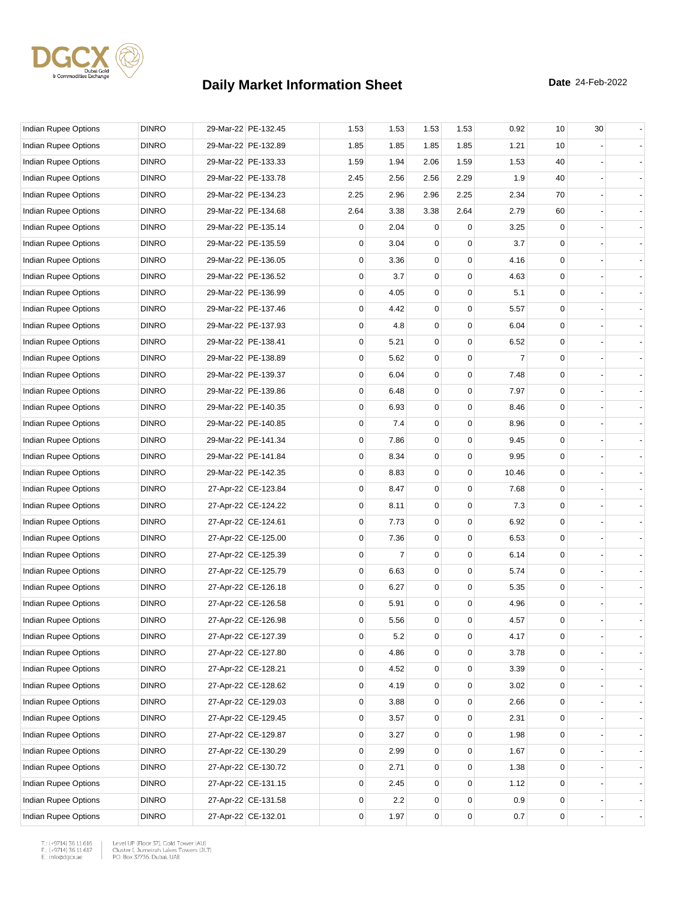

| Indian Rupee Options        | <b>DINRO</b> | 29-Mar-22 PE-132.45 | 1.53 | 1.53           | 1.53         | 1.53     | 0.92           | 10                                  | 30 |                |
|-----------------------------|--------------|---------------------|------|----------------|--------------|----------|----------------|-------------------------------------|----|----------------|
| Indian Rupee Options        | <b>DINRO</b> | 29-Mar-22 PE-132.89 | 1.85 | 1.85           | 1.85         | 1.85     | 1.21           | 10                                  |    |                |
| <b>Indian Rupee Options</b> | <b>DINRO</b> | 29-Mar-22 PE-133.33 | 1.59 | 1.94           | 2.06         | 1.59     | 1.53           | 40                                  |    |                |
| Indian Rupee Options        | <b>DINRO</b> | 29-Mar-22 PE-133.78 | 2.45 | 2.56           | 2.56         | 2.29     | 1.9            | 40                                  |    |                |
| Indian Rupee Options        | <b>DINRO</b> | 29-Mar-22 PE-134.23 | 2.25 | 2.96           | 2.96         | 2.25     | 2.34           | 70                                  |    |                |
| Indian Rupee Options        | <b>DINRO</b> | 29-Mar-22 PE-134.68 | 2.64 | 3.38           | 3.38         | 2.64     | 2.79           | 60                                  |    |                |
| Indian Rupee Options        | <b>DINRO</b> | 29-Mar-22 PE-135.14 | 0    | 2.04           | 0            | $\Omega$ | 3.25           | 0                                   |    |                |
| Indian Rupee Options        | <b>DINRO</b> | 29-Mar-22 PE-135.59 | 0    | 3.04           | $\mathbf 0$  | 0        | 3.7            | 0                                   |    |                |
| Indian Rupee Options        | <b>DINRO</b> | 29-Mar-22 PE-136.05 | 0    | 3.36           | 0            | 0        | 4.16           | 0                                   |    |                |
| Indian Rupee Options        | <b>DINRO</b> | 29-Mar-22 PE-136.52 | 0    | 3.7            | 0            | 0        | 4.63           | 0                                   |    |                |
| Indian Rupee Options        | <b>DINRO</b> | 29-Mar-22 PE-136.99 | 0    | 4.05           | $\mathbf 0$  | 0        | 5.1            | $\mathbf 0$                         |    |                |
| Indian Rupee Options        | <b>DINRO</b> | 29-Mar-22 PE-137.46 | 0    | 4.42           | 0            | 0        | 5.57           | 0                                   |    |                |
| Indian Rupee Options        | <b>DINRO</b> | 29-Mar-22 PE-137.93 | 0    | 4.8            | $\mathbf 0$  | 0        | 6.04           | 0                                   |    |                |
| Indian Rupee Options        | <b>DINRO</b> | 29-Mar-22 PE-138.41 | 0    | 5.21           | $\mathbf 0$  | 0        | 6.52           | 0                                   |    |                |
| Indian Rupee Options        | <b>DINRO</b> | 29-Mar-22 PE-138.89 | 0    | 5.62           | 0            | 0        | $\overline{7}$ | 0                                   |    |                |
| Indian Rupee Options        | <b>DINRO</b> | 29-Mar-22 PE-139.37 | 0    | 6.04           | $\mathbf 0$  | 0        | 7.48           | 0                                   |    |                |
| <b>Indian Rupee Options</b> | <b>DINRO</b> | 29-Mar-22 PE-139.86 | 0    | 6.48           | 0            | 0        | 7.97           | 0                                   |    |                |
| <b>Indian Rupee Options</b> | <b>DINRO</b> | 29-Mar-22 PE-140.35 | 0    | 6.93           | $\mathbf 0$  | 0        | 8.46           | 0                                   |    |                |
| Indian Rupee Options        | <b>DINRO</b> | 29-Mar-22 PE-140.85 | 0    | 7.4            | $\mathbf 0$  | 0        | 8.96           | 0                                   |    |                |
| Indian Rupee Options        | <b>DINRO</b> | 29-Mar-22 PE-141.34 | 0    | 7.86           | 0            | 0        | 9.45           | 0                                   |    |                |
| Indian Rupee Options        | <b>DINRO</b> | 29-Mar-22 PE-141.84 | 0    | 8.34           | $\mathbf 0$  | 0        | 9.95           | 0                                   |    |                |
| Indian Rupee Options        | <b>DINRO</b> | 29-Mar-22 PE-142.35 | 0    | 8.83           | 0            | 0        | 10.46          | 0                                   |    |                |
| Indian Rupee Options        | <b>DINRO</b> | 27-Apr-22 CE-123.84 | 0    | 8.47           | $\mathbf 0$  | 0        | 7.68           | 0                                   |    |                |
| Indian Rupee Options        | <b>DINRO</b> | 27-Apr-22 CE-124.22 | 0    | 8.11           | $\mathbf 0$  | 0        | 7.3            | 0                                   |    |                |
| Indian Rupee Options        | <b>DINRO</b> | 27-Apr-22 CE-124.61 | 0    | 7.73           | 0            | 0        | 6.92           | 0                                   |    |                |
| Indian Rupee Options        | <b>DINRO</b> | 27-Apr-22 CE-125.00 | 0    | 7.36           | $\mathbf 0$  | 0        | 6.53           | 0                                   |    |                |
| Indian Rupee Options        | <b>DINRO</b> | 27-Apr-22 CE-125.39 | 0    | $\overline{7}$ | $\mathbf 0$  | 0        | 6.14           | 0                                   |    |                |
| <b>Indian Rupee Options</b> | <b>DINRO</b> | 27-Apr-22 CE-125.79 | 0    | 6.63           | $\mathbf 0$  | 0        | 5.74           | 0                                   |    |                |
| Indian Rupee Options        | <b>DINRO</b> | 27-Apr-22 CE-126.18 | 0    | 6.27           | $\mathbf 0$  | 0        | 5.35           | 0                                   |    |                |
| Indian Rupee Options        | <b>DINRO</b> | 27-Apr-22 CE-126.58 | 0    | 5.91           | 0            | 0        | 4.96           | 0                                   |    |                |
| Indian Rupee Options        | <b>DINRO</b> | 27-Apr-22 CE-126.98 | 0    | 5.56           | $\mathbf{0}$ | 0        | 4.57           | 0                                   |    |                |
| Indian Rupee Options        | <b>DINRO</b> | 27-Apr-22 CE-127.39 | 0    | 5.2            | 0            | 0        | 4.17           | 0                                   |    |                |
| <b>Indian Rupee Options</b> | <b>DINRO</b> | 27-Apr-22 CE-127.80 | 0    | 4.86           | 0            | 0        | 3.78           | 0                                   |    |                |
| Indian Rupee Options        | <b>DINRO</b> | 27-Apr-22 CE-128.21 | 0    | 4.52           | 0            | 0        | 3.39           | 0                                   |    |                |
| Indian Rupee Options        | <b>DINRO</b> | 27-Apr-22 CE-128.62 | 0    | 4.19           | $\mathbf 0$  | 0        | 3.02           | 0                                   |    |                |
| Indian Rupee Options        | <b>DINRO</b> | 27-Apr-22 CE-129.03 | 0    | 3.88           | $\mathbf 0$  | 0        | 2.66           | 0                                   |    |                |
| <b>Indian Rupee Options</b> | <b>DINRO</b> | 27-Apr-22 CE-129.45 | 0    | 3.57           | 0            | 0        | 2.31           | 0                                   |    |                |
| Indian Rupee Options        | <b>DINRO</b> | 27-Apr-22 CE-129.87 | 0    | 3.27           | 0            | 0        | 1.98           | 0                                   |    |                |
| Indian Rupee Options        | <b>DINRO</b> | 27-Apr-22 CE-130.29 | 0    | 2.99           | 0            | 0        | 1.67           | 0                                   |    | $\blacksquare$ |
| Indian Rupee Options        | <b>DINRO</b> | 27-Apr-22 CE-130.72 | 0    | 2.71           | $\mathbf 0$  | 0        | 1.38           | 0                                   |    |                |
| Indian Rupee Options        | <b>DINRO</b> | 27-Apr-22 CE-131.15 | 0    | 2.45           | $\mathbf 0$  | 0        | 1.12           | 0                                   |    |                |
| Indian Rupee Options        | <b>DINRO</b> | 27-Apr-22 CE-131.58 | 0    | 2.2            | 0            | 0        | 0.9            | 0                                   |    |                |
| Indian Rupee Options        | <b>DINRO</b> | 27-Apr-22 CE-132.01 | 0    | 1.97           | $\mathsf 0$  | 0        | 0.7            | $\mathsf{O}\!\!\!\!\phantom{\Big }$ |    |                |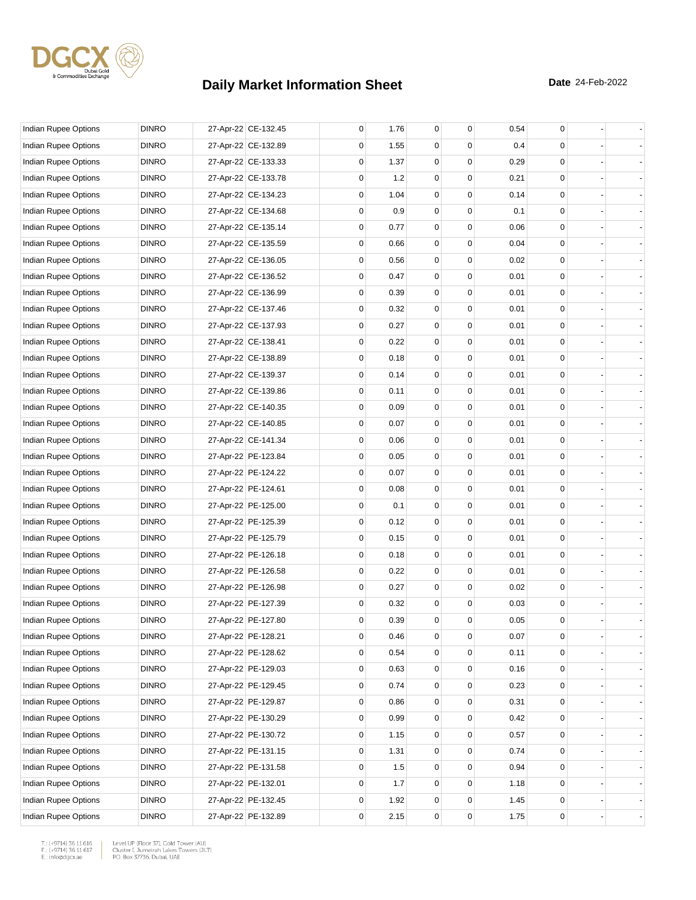

| Indian Rupee Options        | <b>DINRO</b> | 27-Apr-22 CE-132.45 | 0 | 1.76 | 0           | 0           | 0.54     | 0           |  |
|-----------------------------|--------------|---------------------|---|------|-------------|-------------|----------|-------------|--|
| Indian Rupee Options        | <b>DINRO</b> | 27-Apr-22 CE-132.89 | 0 | 1.55 | 0           | 0           | 0.4      | 0           |  |
| Indian Rupee Options        | <b>DINRO</b> | 27-Apr-22 CE-133.33 | 0 | 1.37 | 0           | $\mathbf 0$ | 0.29     | 0           |  |
| Indian Rupee Options        | <b>DINRO</b> | 27-Apr-22 CE-133.78 | 0 | 1.2  | 0           | 0           | 0.21     | $\mathbf 0$ |  |
| Indian Rupee Options        | <b>DINRO</b> | 27-Apr-22 CE-134.23 | 0 | 1.04 | $\mathbf 0$ | 0           | 0.14     | $\mathbf 0$ |  |
| Indian Rupee Options        | <b>DINRO</b> | 27-Apr-22 CE-134.68 | 0 | 0.9  | 0           | 0           | 0.1      | $\mathbf 0$ |  |
| Indian Rupee Options        | <b>DINRO</b> | 27-Apr-22 CE-135.14 | 0 | 0.77 | 0           | 0           | 0.06     | 0           |  |
| Indian Rupee Options        | <b>DINRO</b> | 27-Apr-22 CE-135.59 | 0 | 0.66 | 0           | 0           | 0.04     | 0           |  |
| Indian Rupee Options        | <b>DINRO</b> | 27-Apr-22 CE-136.05 | 0 | 0.56 | 0           | 0           | 0.02     | $\mathbf 0$ |  |
| Indian Rupee Options        | <b>DINRO</b> | 27-Apr-22 CE-136.52 | 0 | 0.47 | $\mathbf 0$ | 0           | 0.01     | $\mathbf 0$ |  |
| Indian Rupee Options        | <b>DINRO</b> | 27-Apr-22 CE-136.99 | 0 | 0.39 | 0           | 0           | 0.01     | 0           |  |
| Indian Rupee Options        | <b>DINRO</b> | 27-Apr-22 CE-137.46 | 0 | 0.32 | 0           | $\Omega$    | 0.01     | 0           |  |
| Indian Rupee Options        | <b>DINRO</b> | 27-Apr-22 CE-137.93 | 0 | 0.27 | 0           | 0           | 0.01     | 0           |  |
| Indian Rupee Options        | <b>DINRO</b> | 27-Apr-22 CE-138.41 | 0 | 0.22 | 0           | 0           | 0.01     | $\mathbf 0$ |  |
| Indian Rupee Options        | <b>DINRO</b> | 27-Apr-22 CE-138.89 | 0 | 0.18 | $\mathbf 0$ | 0           | 0.01     | $\mathbf 0$ |  |
| Indian Rupee Options        | <b>DINRO</b> | 27-Apr-22 CE-139.37 | 0 | 0.14 | 0           | 0           | 0.01     | 0           |  |
| Indian Rupee Options        | <b>DINRO</b> | 27-Apr-22 CE-139.86 | 0 | 0.11 | 0           | $\Omega$    | 0.01     | 0           |  |
| Indian Rupee Options        | <b>DINRO</b> | 27-Apr-22 CE-140.35 | 0 | 0.09 | 0           | 0           | 0.01     | 0           |  |
| Indian Rupee Options        | <b>DINRO</b> | 27-Apr-22 CE-140.85 | 0 | 0.07 | 0           | $\Omega$    | 0.01     | $\mathbf 0$ |  |
| Indian Rupee Options        | <b>DINRO</b> | 27-Apr-22 CE-141.34 | 0 | 0.06 | 0           | 0           | 0.01     | $\mathbf 0$ |  |
| Indian Rupee Options        | <b>DINRO</b> | 27-Apr-22 PE-123.84 | 0 | 0.05 | 0           | 0           | 0.01     | 0           |  |
| Indian Rupee Options        | <b>DINRO</b> | 27-Apr-22 PE-124.22 | 0 | 0.07 | 0           | $\Omega$    | 0.01     | 0           |  |
| Indian Rupee Options        | <b>DINRO</b> | 27-Apr-22 PE-124.61 | 0 | 0.08 | 0           | 0           | 0.01     | 0           |  |
| Indian Rupee Options        | <b>DINRO</b> | 27-Apr-22 PE-125.00 | 0 | 0.1  | 0           | 0           | 0.01     | $\mathbf 0$ |  |
| Indian Rupee Options        | <b>DINRO</b> | 27-Apr-22 PE-125.39 | 0 | 0.12 | 0           | 0           | 0.01     | $\mathbf 0$ |  |
| Indian Rupee Options        | <b>DINRO</b> | 27-Apr-22 PE-125.79 | 0 | 0.15 | 0           | 0           | 0.01     | 0           |  |
| Indian Rupee Options        | <b>DINRO</b> | 27-Apr-22 PE-126.18 | 0 | 0.18 | 0           | $\Omega$    | 0.01     | 0           |  |
| Indian Rupee Options        | <b>DINRO</b> | 27-Apr-22 PE-126.58 | 0 | 0.22 | 0           | 0           | 0.01     | 0           |  |
| Indian Rupee Options        | <b>DINRO</b> | 27-Apr-22 PE-126.98 | 0 | 0.27 | 0           | 0           | 0.02     | $\mathbf 0$ |  |
| Indian Rupee Options        | <b>DINRO</b> | 27-Apr-22 PE-127.39 | 0 | 0.32 | 0           | 0           | 0.03     | $\mathbf 0$ |  |
| Indian Rupee Options        | <b>DINRO</b> | 27-Apr-22 PE-127.80 | 0 | 0.39 | $\mathbf 0$ | 0           | 0.05     | 0           |  |
| Indian Rupee Options        | <b>DINRO</b> | 27-Apr-22 PE-128.21 | 0 | 0.46 | 0           | $\pmb{0}$   | $0.07\,$ | 0           |  |
| Indian Rupee Options        | <b>DINRO</b> | 27-Apr-22 PE-128.62 | 0 | 0.54 | 0           | 0           | 0.11     | 0           |  |
| Indian Rupee Options        | <b>DINRO</b> | 27-Apr-22 PE-129.03 | 0 | 0.63 | 0           | 0           | 0.16     | 0           |  |
| Indian Rupee Options        | <b>DINRO</b> | 27-Apr-22 PE-129.45 | 0 | 0.74 | 0           | 0           | 0.23     | 0           |  |
| <b>Indian Rupee Options</b> | <b>DINRO</b> | 27-Apr-22 PE-129.87 | 0 | 0.86 | 0           | 0           | 0.31     | 0           |  |
| Indian Rupee Options        | <b>DINRO</b> | 27-Apr-22 PE-130.29 | 0 | 0.99 | 0           | 0           | 0.42     | 0           |  |
| Indian Rupee Options        | <b>DINRO</b> | 27-Apr-22 PE-130.72 | 0 | 1.15 | 0           | 0           | 0.57     | 0           |  |
| Indian Rupee Options        | <b>DINRO</b> | 27-Apr-22 PE-131.15 | 0 | 1.31 | 0           | 0           | 0.74     | 0           |  |
| Indian Rupee Options        | <b>DINRO</b> | 27-Apr-22 PE-131.58 | 0 | 1.5  | 0           | 0           | 0.94     | 0           |  |
| Indian Rupee Options        | <b>DINRO</b> | 27-Apr-22 PE-132.01 | 0 | 1.7  | 0           | 0           | 1.18     | 0           |  |
| Indian Rupee Options        | <b>DINRO</b> | 27-Apr-22 PE-132.45 | 0 | 1.92 | 0           | 0           | 1.45     | 0           |  |
| Indian Rupee Options        | <b>DINRO</b> | 27-Apr-22 PE-132.89 | 0 | 2.15 | 0           | 0           | 1.75     | 0           |  |